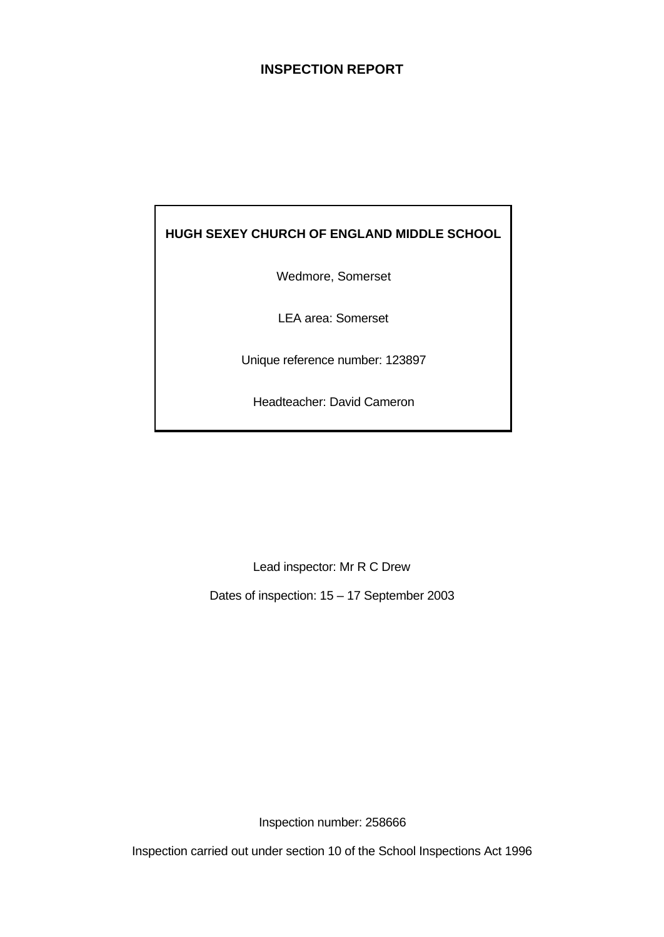# **INSPECTION REPORT**

# **HUGH SEXEY CHURCH OF ENGLAND MIDDLE SCHOOL**

Wedmore, Somerset

LEA area: Somerset

Unique reference number: 123897

Headteacher: David Cameron

Lead inspector: Mr R C Drew

Dates of inspection: 15 – 17 September 2003

Inspection number: 258666

Inspection carried out under section 10 of the School Inspections Act 1996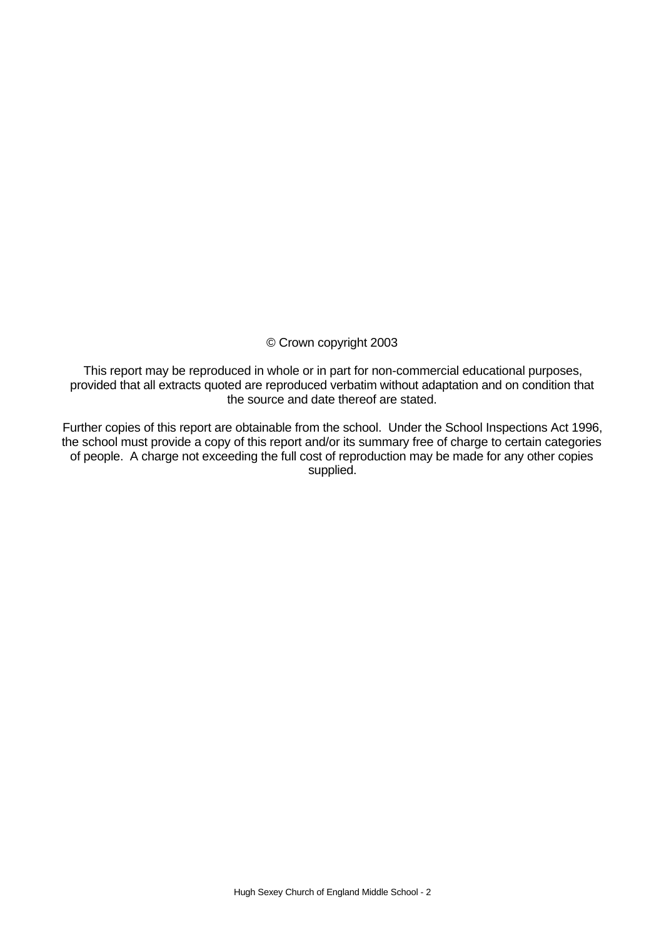# © Crown copyright 2003

This report may be reproduced in whole or in part for non-commercial educational purposes, provided that all extracts quoted are reproduced verbatim without adaptation and on condition that the source and date thereof are stated.

Further copies of this report are obtainable from the school. Under the School Inspections Act 1996, the school must provide a copy of this report and/or its summary free of charge to certain categories of people. A charge not exceeding the full cost of reproduction may be made for any other copies supplied.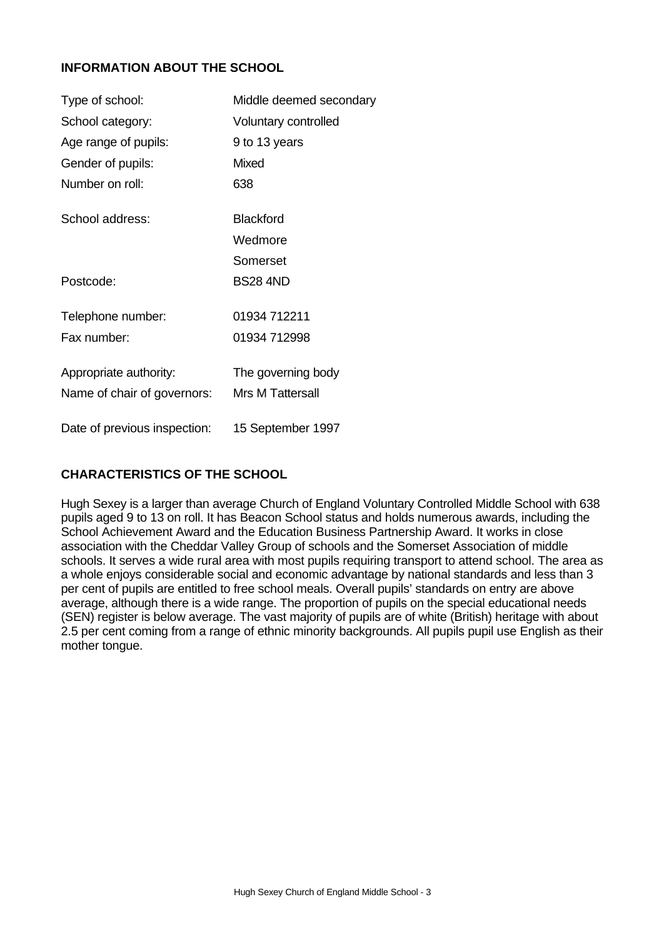# **INFORMATION ABOUT THE SCHOOL**

| Type of school:              | Middle deemed secondary |
|------------------------------|-------------------------|
| School category:             | Voluntary controlled    |
| Age range of pupils:         | 9 to 13 years           |
| Gender of pupils:            | Mixed                   |
| Number on roll:              | 638                     |
| School address:              | <b>Blackford</b>        |
|                              | Wedmore                 |
|                              | Somerset                |
| Postcode:                    | <b>BS28 4ND</b>         |
| Telephone number:            | 01934 712211            |
| Fax number:                  | 01934 712998            |
| Appropriate authority:       | The governing body      |
| Name of chair of governors:  | <b>Mrs M Tattersall</b> |
| Date of previous inspection: | 15 September 1997       |

# **CHARACTERISTICS OF THE SCHOOL**

Hugh Sexey is a larger than average Church of England Voluntary Controlled Middle School with 638 pupils aged 9 to 13 on roll. It has Beacon School status and holds numerous awards, including the School Achievement Award and the Education Business Partnership Award. It works in close association with the Cheddar Valley Group of schools and the Somerset Association of middle schools. It serves a wide rural area with most pupils requiring transport to attend school. The area as a whole enjoys considerable social and economic advantage by national standards and less than 3 per cent of pupils are entitled to free school meals. Overall pupils' standards on entry are above average, although there is a wide range. The proportion of pupils on the special educational needs (SEN) register is below average. The vast majority of pupils are of white (British) heritage with about 2.5 per cent coming from a range of ethnic minority backgrounds. All pupils pupil use English as their mother tongue.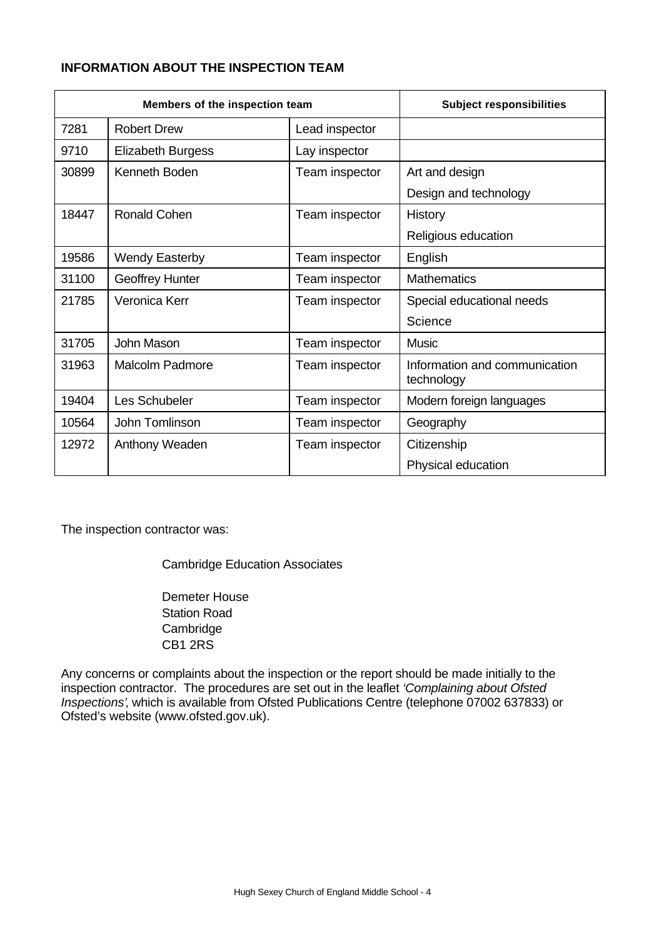# **INFORMATION ABOUT THE INSPECTION TEAM**

| Members of the inspection team |                          | <b>Subject responsibilities</b> |                                             |
|--------------------------------|--------------------------|---------------------------------|---------------------------------------------|
| 7281                           | <b>Robert Drew</b>       | Lead inspector                  |                                             |
| 9710                           | <b>Elizabeth Burgess</b> | Lay inspector                   |                                             |
| 30899                          | Kenneth Boden            | Team inspector                  | Art and design                              |
|                                |                          |                                 | Design and technology                       |
| 18447                          | <b>Ronald Cohen</b>      | Team inspector                  | History                                     |
|                                |                          |                                 | Religious education                         |
| 19586                          | <b>Wendy Easterby</b>    | Team inspector                  | English                                     |
| 31100                          | <b>Geoffrey Hunter</b>   | Team inspector                  | <b>Mathematics</b>                          |
| 21785                          | Veronica Kerr            | Team inspector                  | Special educational needs                   |
|                                |                          |                                 | Science                                     |
| 31705                          | John Mason               | Team inspector                  | <b>Music</b>                                |
| 31963                          | <b>Malcolm Padmore</b>   | Team inspector                  | Information and communication<br>technology |
| 19404                          | Les Schubeler            | Team inspector                  | Modern foreign languages                    |
| 10564                          | John Tomlinson           | Team inspector                  | Geography                                   |
| 12972                          | Anthony Weaden           | Team inspector                  | Citizenship                                 |
|                                |                          |                                 | Physical education                          |

The inspection contractor was:

Cambridge Education Associates

Demeter House Station Road **Cambridge** CB1 2RS

Any concerns or complaints about the inspection or the report should be made initially to the inspection contractor. The procedures are set out in the leaflet *'Complaining about Ofsted Inspections'*, which is available from Ofsted Publications Centre (telephone 07002 637833) or Ofsted's website (www.ofsted.gov.uk).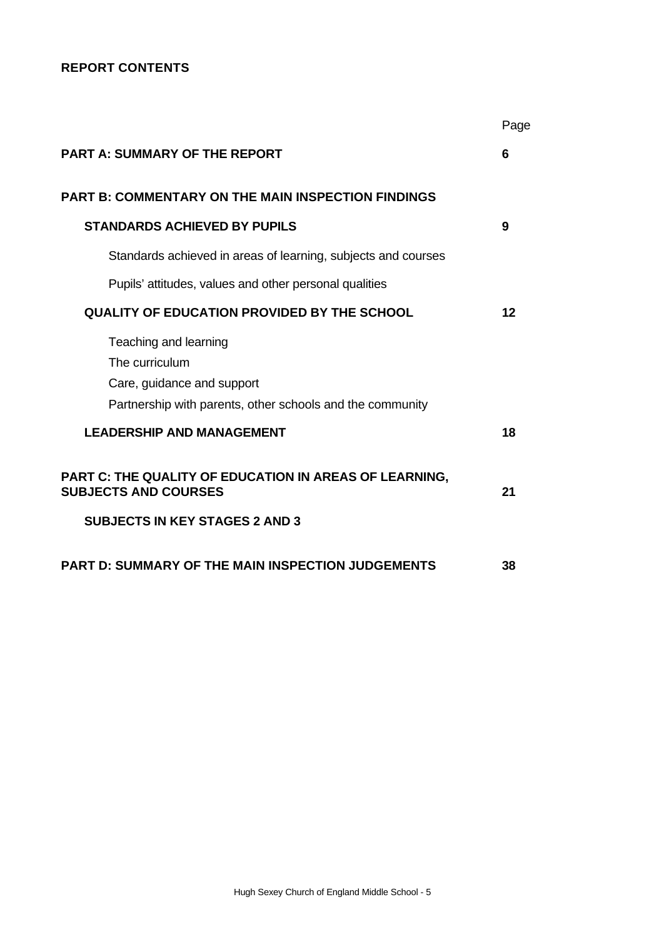# **REPORT CONTENTS**

|                                                                                       | Page |
|---------------------------------------------------------------------------------------|------|
| <b>PART A: SUMMARY OF THE REPORT</b>                                                  | 6    |
| <b>PART B: COMMENTARY ON THE MAIN INSPECTION FINDINGS</b>                             |      |
| <b>STANDARDS ACHIEVED BY PUPILS</b>                                                   | 9    |
| Standards achieved in areas of learning, subjects and courses                         |      |
| Pupils' attitudes, values and other personal qualities                                |      |
| <b>QUALITY OF EDUCATION PROVIDED BY THE SCHOOL</b>                                    | 12   |
| Teaching and learning                                                                 |      |
| The curriculum<br>Care, guidance and support                                          |      |
| Partnership with parents, other schools and the community                             |      |
| <b>LEADERSHIP AND MANAGEMENT</b>                                                      | 18   |
| PART C: THE QUALITY OF EDUCATION IN AREAS OF LEARNING,<br><b>SUBJECTS AND COURSES</b> | 21   |
| <b>SUBJECTS IN KEY STAGES 2 AND 3</b>                                                 |      |
| <b>PART D: SUMMARY OF THE MAIN INSPECTION JUDGEMENTS</b>                              | 38   |
|                                                                                       |      |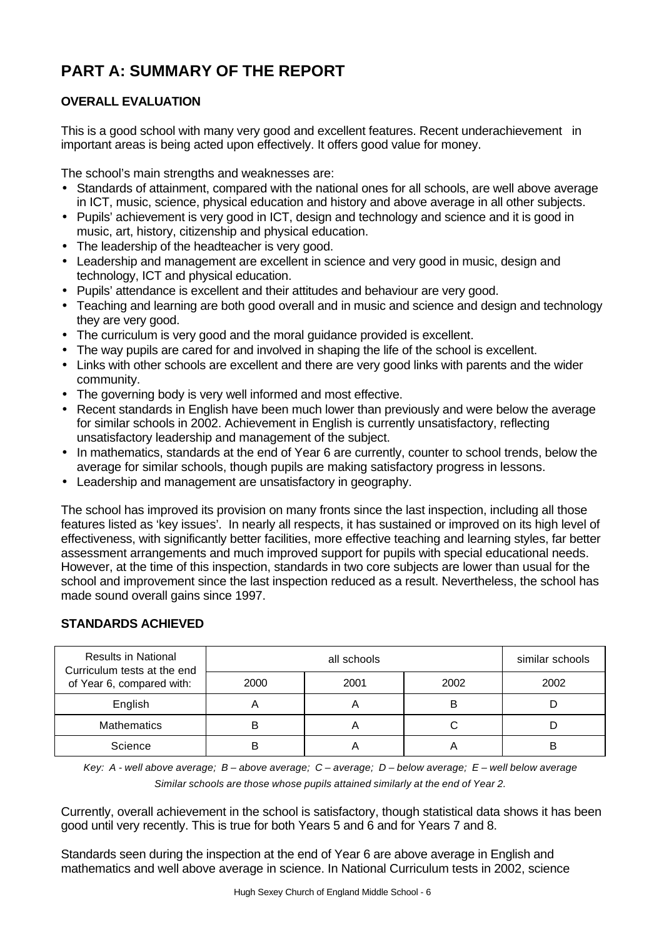# **PART A: SUMMARY OF THE REPORT**

# **OVERALL EVALUATION**

This is a good school with many very good and excellent features. Recent underachievement in important areas is being acted upon effectively. It offers good value for money.

The school's main strengths and weaknesses are:

- Standards of attainment, compared with the national ones for all schools, are well above average in ICT, music, science, physical education and history and above average in all other subjects.
- Pupils' achievement is very good in ICT, design and technology and science and it is good in music, art, history, citizenship and physical education.
- The leadership of the headteacher is very good.
- Leadership and management are excellent in science and very good in music, design and technology, ICT and physical education.
- Pupils' attendance is excellent and their attitudes and behaviour are very good.
- Teaching and learning are both good overall and in music and science and design and technology they are very good.
- The curriculum is very good and the moral guidance provided is excellent.
- The way pupils are cared for and involved in shaping the life of the school is excellent.
- Links with other schools are excellent and there are very good links with parents and the wider community.
- The governing body is very well informed and most effective.
- Recent standards in English have been much lower than previously and were below the average for similar schools in 2002. Achievement in English is currently unsatisfactory, reflecting unsatisfactory leadership and management of the subject.
- In mathematics, standards at the end of Year 6 are currently, counter to school trends, below the average for similar schools, though pupils are making satisfactory progress in lessons.
- Leadership and management are unsatisfactory in geography.

The school has improved its provision on many fronts since the last inspection, including all those features listed as 'key issues'. In nearly all respects, it has sustained or improved on its high level of effectiveness, with significantly better facilities, more effective teaching and learning styles, far better assessment arrangements and much improved support for pupils with special educational needs. However, at the time of this inspection, standards in two core subjects are lower than usual for the school and improvement since the last inspection reduced as a result. Nevertheless, the school has made sound overall gains since 1997.

# **STANDARDS ACHIEVED**

| <b>Results in National</b><br>Curriculum tests at the end |      | similar schools |      |      |
|-----------------------------------------------------------|------|-----------------|------|------|
| of Year 6, compared with:                                 | 2000 | 2001            | 2002 | 2002 |
| English                                                   |      | n               | В    |      |
| <b>Mathematics</b>                                        |      | ◠               |      |      |
| Science                                                   |      |                 |      |      |

*Key: A - well above average; B – above average; C – average; D – below average; E – well below average Similar schools are those whose pupils attained similarly at the end of Year 2.*

Currently, overall achievement in the school is satisfactory, though statistical data shows it has been good until very recently. This is true for both Years 5 and 6 and for Years 7 and 8.

Standards seen during the inspection at the end of Year 6 are above average in English and mathematics and well above average in science. In National Curriculum tests in 2002, science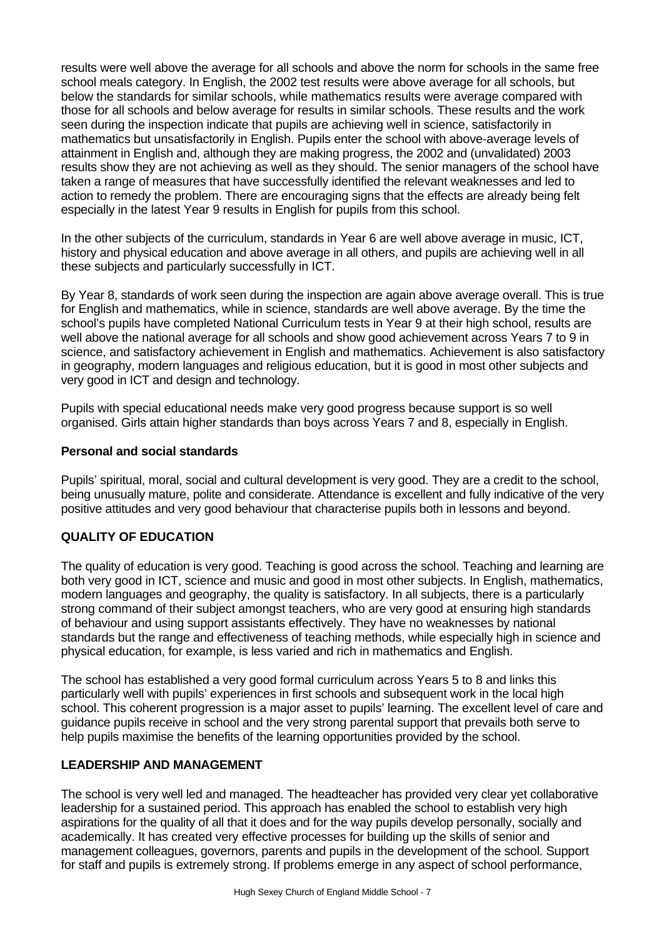results were well above the average for all schools and above the norm for schools in the same free school meals category. In English, the 2002 test results were above average for all schools, but below the standards for similar schools, while mathematics results were average compared with those for all schools and below average for results in similar schools. These results and the work seen during the inspection indicate that pupils are achieving well in science, satisfactorily in mathematics but unsatisfactorily in English. Pupils enter the school with above-average levels of attainment in English and, although they are making progress, the 2002 and (unvalidated) 2003 results show they are not achieving as well as they should. The senior managers of the school have taken a range of measures that have successfully identified the relevant weaknesses and led to action to remedy the problem. There are encouraging signs that the effects are already being felt especially in the latest Year 9 results in English for pupils from this school.

In the other subjects of the curriculum, standards in Year 6 are well above average in music, ICT, history and physical education and above average in all others, and pupils are achieving well in all these subjects and particularly successfully in ICT.

By Year 8, standards of work seen during the inspection are again above average overall. This is true for English and mathematics, while in science, standards are well above average. By the time the school's pupils have completed National Curriculum tests in Year 9 at their high school, results are well above the national average for all schools and show good achievement across Years 7 to 9 in science, and satisfactory achievement in English and mathematics. Achievement is also satisfactory in geography, modern languages and religious education, but it is good in most other subjects and very good in ICT and design and technology.

Pupils with special educational needs make very good progress because support is so well organised. Girls attain higher standards than boys across Years 7 and 8, especially in English.

# **Personal and social standards**

Pupils' spiritual, moral, social and cultural development is very good. They are a credit to the school, being unusually mature, polite and considerate. Attendance is excellent and fully indicative of the very positive attitudes and very good behaviour that characterise pupils both in lessons and beyond.

# **QUALITY OF EDUCATION**

The quality of education is very good. Teaching is good across the school. Teaching and learning are both very good in ICT, science and music and good in most other subjects. In English, mathematics, modern languages and geography, the quality is satisfactory. In all subjects, there is a particularly strong command of their subject amongst teachers, who are very good at ensuring high standards of behaviour and using support assistants effectively. They have no weaknesses by national standards but the range and effectiveness of teaching methods, while especially high in science and physical education, for example, is less varied and rich in mathematics and English.

The school has established a very good formal curriculum across Years 5 to 8 and links this particularly well with pupils' experiences in first schools and subsequent work in the local high school. This coherent progression is a major asset to pupils' learning. The excellent level of care and guidance pupils receive in school and the very strong parental support that prevails both serve to help pupils maximise the benefits of the learning opportunities provided by the school.

# **LEADERSHIP AND MANAGEMENT**

The school is very well led and managed. The headteacher has provided very clear yet collaborative leadership for a sustained period. This approach has enabled the school to establish very high aspirations for the quality of all that it does and for the way pupils develop personally, socially and academically. It has created very effective processes for building up the skills of senior and management colleagues, governors, parents and pupils in the development of the school. Support for staff and pupils is extremely strong. If problems emerge in any aspect of school performance,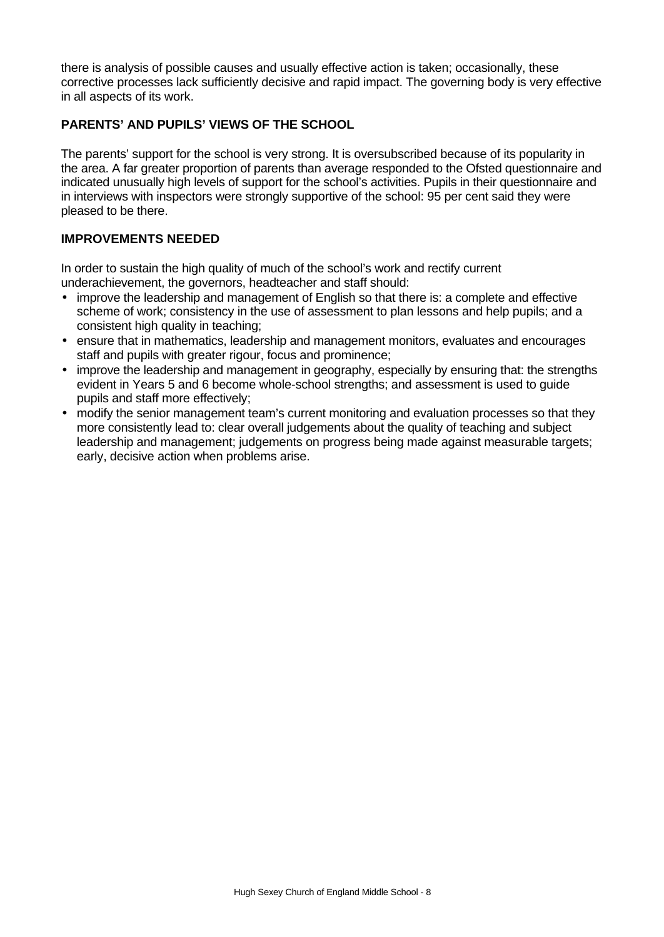there is analysis of possible causes and usually effective action is taken; occasionally, these corrective processes lack sufficiently decisive and rapid impact. The governing body is very effective in all aspects of its work.

# **PARENTS' AND PUPILS' VIEWS OF THE SCHOOL**

The parents' support for the school is very strong. It is oversubscribed because of its popularity in the area. A far greater proportion of parents than average responded to the Ofsted questionnaire and indicated unusually high levels of support for the school's activities. Pupils in their questionnaire and in interviews with inspectors were strongly supportive of the school: 95 per cent said they were pleased to be there.

# **IMPROVEMENTS NEEDED**

In order to sustain the high quality of much of the school's work and rectify current underachievement, the governors, headteacher and staff should:

- improve the leadership and management of English so that there is: a complete and effective scheme of work; consistency in the use of assessment to plan lessons and help pupils; and a consistent high quality in teaching;
- ensure that in mathematics, leadership and management monitors, evaluates and encourages staff and pupils with greater rigour, focus and prominence;
- improve the leadership and management in geography, especially by ensuring that: the strengths evident in Years 5 and 6 become whole-school strengths; and assessment is used to guide pupils and staff more effectively;
- modify the senior management team's current monitoring and evaluation processes so that they more consistently lead to: clear overall judgements about the quality of teaching and subject leadership and management; judgements on progress being made against measurable targets; early, decisive action when problems arise.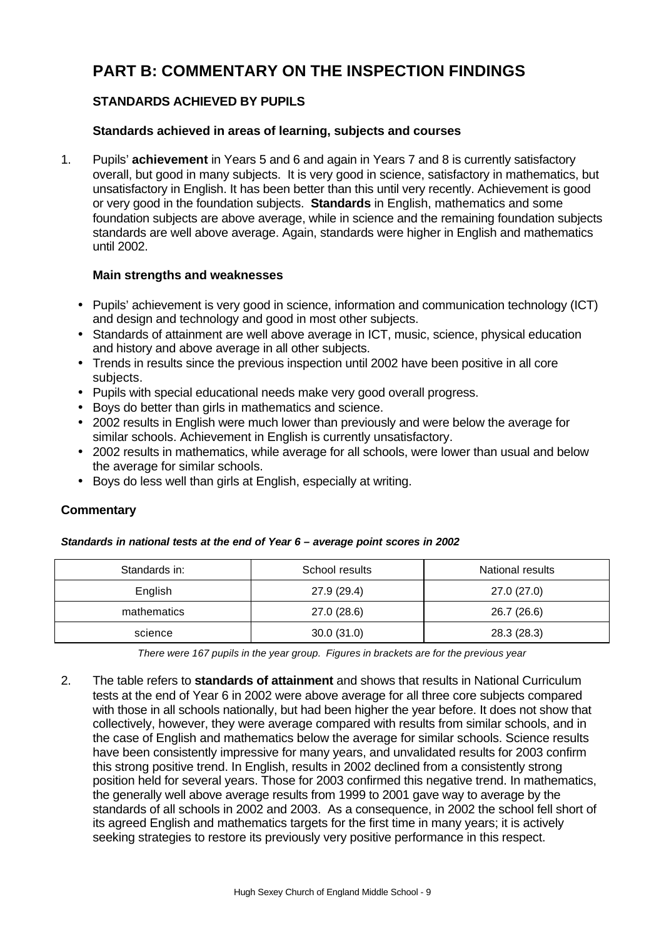# **PART B: COMMENTARY ON THE INSPECTION FINDINGS**

# **STANDARDS ACHIEVED BY PUPILS**

# **Standards achieved in areas of learning, subjects and courses**

1. Pupils' **achievement** in Years 5 and 6 and again in Years 7 and 8 is currently satisfactory overall, but good in many subjects. It is very good in science, satisfactory in mathematics, but unsatisfactory in English. It has been better than this until very recently. Achievement is good or very good in the foundation subjects. **Standards** in English, mathematics and some foundation subjects are above average, while in science and the remaining foundation subjects standards are well above average. Again, standards were higher in English and mathematics until 2002.

# **Main strengths and weaknesses**

- Pupils' achievement is very good in science, information and communication technology (ICT) and design and technology and good in most other subjects.
- Standards of attainment are well above average in ICT, music, science, physical education and history and above average in all other subjects.
- Trends in results since the previous inspection until 2002 have been positive in all core subjects.
- Pupils with special educational needs make very good overall progress.
- Boys do better than girls in mathematics and science.
- 2002 results in English were much lower than previously and were below the average for similar schools. Achievement in English is currently unsatisfactory.
- 2002 results in mathematics, while average for all schools, were lower than usual and below the average for similar schools.
- Boys do less well than girls at English, especially at writing.

# **Commentary**

#### *Standards in national tests at the end of Year 6 – average point scores in 2002*

| Standards in: | School results | National results |
|---------------|----------------|------------------|
| English       | 27.9 (29.4)    | 27.0 (27.0)      |
| mathematics   | 27.0 (28.6)    | 26.7 (26.6)      |
| science       | 30.0(31.0)     | 28.3 (28.3)      |

*There were 167 pupils in the year group. Figures in brackets are for the previous year*

2. The table refers to **standards of attainment** and shows that results in National Curriculum tests at the end of Year 6 in 2002 were above average for all three core subjects compared with those in all schools nationally, but had been higher the year before. It does not show that collectively, however, they were average compared with results from similar schools, and in the case of English and mathematics below the average for similar schools. Science results have been consistently impressive for many years, and unvalidated results for 2003 confirm this strong positive trend. In English, results in 2002 declined from a consistently strong position held for several years. Those for 2003 confirmed this negative trend. In mathematics, the generally well above average results from 1999 to 2001 gave way to average by the standards of all schools in 2002 and 2003. As a consequence, in 2002 the school fell short of its agreed English and mathematics targets for the first time in many years; it is actively seeking strategies to restore its previously very positive performance in this respect.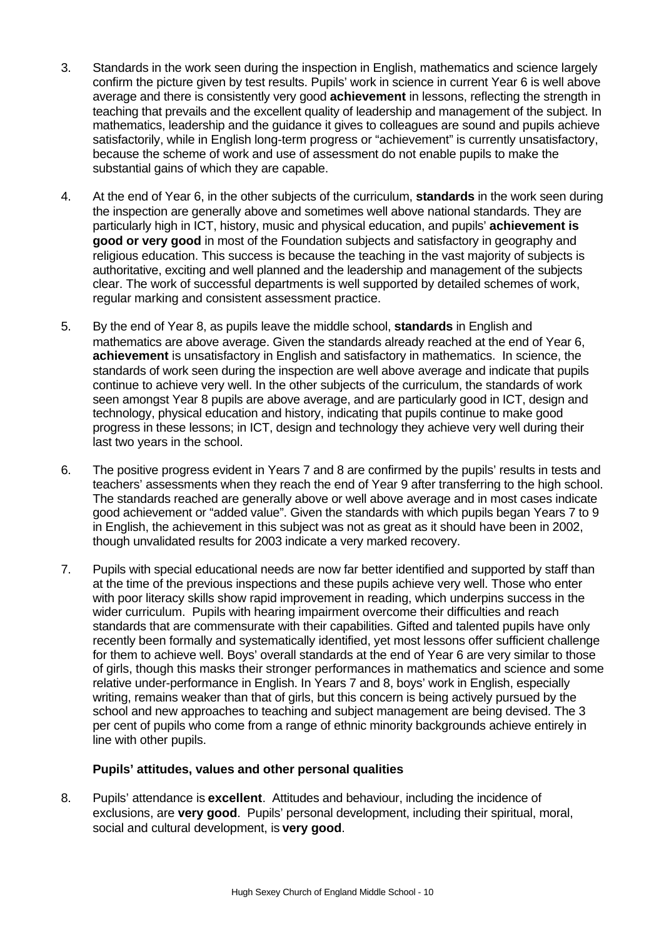- 3. Standards in the work seen during the inspection in English, mathematics and science largely confirm the picture given by test results. Pupils' work in science in current Year 6 is well above average and there is consistently very good **achievement** in lessons, reflecting the strength in teaching that prevails and the excellent quality of leadership and management of the subject. In mathematics, leadership and the guidance it gives to colleagues are sound and pupils achieve satisfactorily, while in English long-term progress or "achievement" is currently unsatisfactory, because the scheme of work and use of assessment do not enable pupils to make the substantial gains of which they are capable.
- 4. At the end of Year 6, in the other subjects of the curriculum, **standards** in the work seen during the inspection are generally above and sometimes well above national standards. They are particularly high in ICT, history, music and physical education, and pupils' **achievement is good or very good** in most of the Foundation subjects and satisfactory in geography and religious education. This success is because the teaching in the vast majority of subjects is authoritative, exciting and well planned and the leadership and management of the subjects clear. The work of successful departments is well supported by detailed schemes of work, regular marking and consistent assessment practice.
- 5. By the end of Year 8, as pupils leave the middle school, **standards** in English and mathematics are above average. Given the standards already reached at the end of Year 6, **achievement** is unsatisfactory in English and satisfactory in mathematics. In science, the standards of work seen during the inspection are well above average and indicate that pupils continue to achieve very well. In the other subjects of the curriculum, the standards of work seen amongst Year 8 pupils are above average, and are particularly good in ICT, design and technology, physical education and history, indicating that pupils continue to make good progress in these lessons; in ICT, design and technology they achieve very well during their last two years in the school.
- 6. The positive progress evident in Years 7 and 8 are confirmed by the pupils' results in tests and teachers' assessments when they reach the end of Year 9 after transferring to the high school. The standards reached are generally above or well above average and in most cases indicate good achievement or "added value". Given the standards with which pupils began Years 7 to 9 in English, the achievement in this subject was not as great as it should have been in 2002, though unvalidated results for 2003 indicate a very marked recovery.
- 7. Pupils with special educational needs are now far better identified and supported by staff than at the time of the previous inspections and these pupils achieve very well. Those who enter with poor literacy skills show rapid improvement in reading, which underpins success in the wider curriculum. Pupils with hearing impairment overcome their difficulties and reach standards that are commensurate with their capabilities. Gifted and talented pupils have only recently been formally and systematically identified, yet most lessons offer sufficient challenge for them to achieve well. Boys' overall standards at the end of Year 6 are very similar to those of girls, though this masks their stronger performances in mathematics and science and some relative under-performance in English. In Years 7 and 8, boys' work in English, especially writing, remains weaker than that of girls, but this concern is being actively pursued by the school and new approaches to teaching and subject management are being devised. The 3 per cent of pupils who come from a range of ethnic minority backgrounds achieve entirely in line with other pupils.

# **Pupils' attitudes, values and other personal qualities**

8. Pupils' attendance is **excellent**. Attitudes and behaviour, including the incidence of exclusions, are **very good**. Pupils' personal development, including their spiritual, moral, social and cultural development, is **very good**.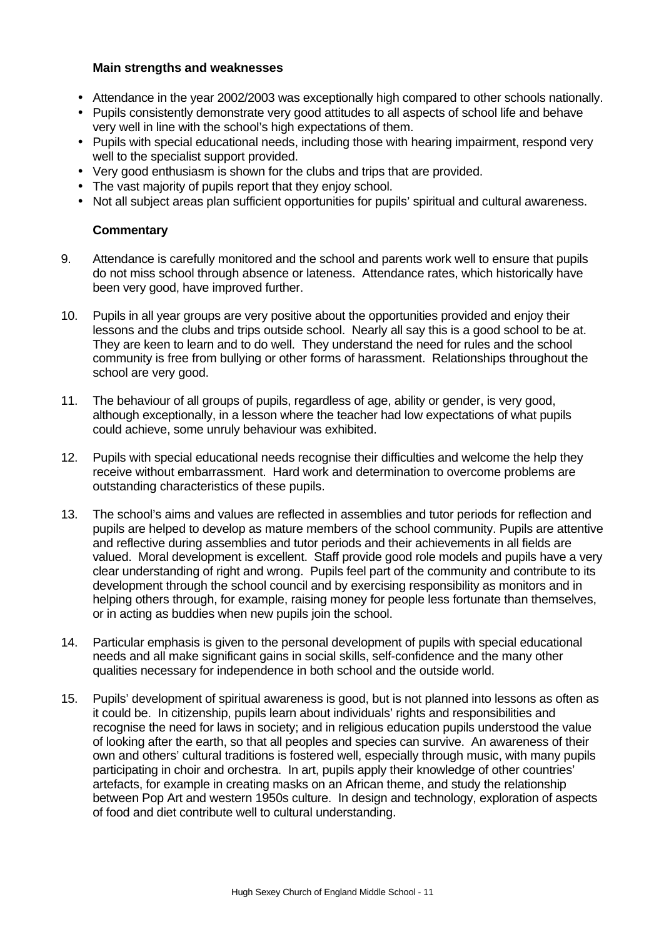#### **Main strengths and weaknesses**

- Attendance in the year 2002/2003 was exceptionally high compared to other schools nationally.
- Pupils consistently demonstrate very good attitudes to all aspects of school life and behave very well in line with the school's high expectations of them.
- Pupils with special educational needs, including those with hearing impairment, respond very well to the specialist support provided.
- Very good enthusiasm is shown for the clubs and trips that are provided.
- The vast majority of pupils report that they enjoy school.
- Not all subject areas plan sufficient opportunities for pupils' spiritual and cultural awareness.

#### **Commentary**

- 9. Attendance is carefully monitored and the school and parents work well to ensure that pupils do not miss school through absence or lateness. Attendance rates, which historically have been very good, have improved further.
- 10. Pupils in all year groups are very positive about the opportunities provided and enjoy their lessons and the clubs and trips outside school. Nearly all say this is a good school to be at. They are keen to learn and to do well. They understand the need for rules and the school community is free from bullying or other forms of harassment. Relationships throughout the school are very good.
- 11. The behaviour of all groups of pupils, regardless of age, ability or gender, is very good, although exceptionally, in a lesson where the teacher had low expectations of what pupils could achieve, some unruly behaviour was exhibited.
- 12. Pupils with special educational needs recognise their difficulties and welcome the help they receive without embarrassment. Hard work and determination to overcome problems are outstanding characteristics of these pupils.
- 13. The school's aims and values are reflected in assemblies and tutor periods for reflection and pupils are helped to develop as mature members of the school community. Pupils are attentive and reflective during assemblies and tutor periods and their achievements in all fields are valued. Moral development is excellent. Staff provide good role models and pupils have a very clear understanding of right and wrong. Pupils feel part of the community and contribute to its development through the school council and by exercising responsibility as monitors and in helping others through, for example, raising money for people less fortunate than themselves, or in acting as buddies when new pupils join the school.
- 14. Particular emphasis is given to the personal development of pupils with special educational needs and all make significant gains in social skills, self-confidence and the many other qualities necessary for independence in both school and the outside world.
- 15. Pupils' development of spiritual awareness is good, but is not planned into lessons as often as it could be. In citizenship, pupils learn about individuals' rights and responsibilities and recognise the need for laws in society; and in religious education pupils understood the value of looking after the earth, so that all peoples and species can survive. An awareness of their own and others' cultural traditions is fostered well, especially through music, with many pupils participating in choir and orchestra. In art, pupils apply their knowledge of other countries' artefacts, for example in creating masks on an African theme, and study the relationship between Pop Art and western 1950s culture. In design and technology, exploration of aspects of food and diet contribute well to cultural understanding.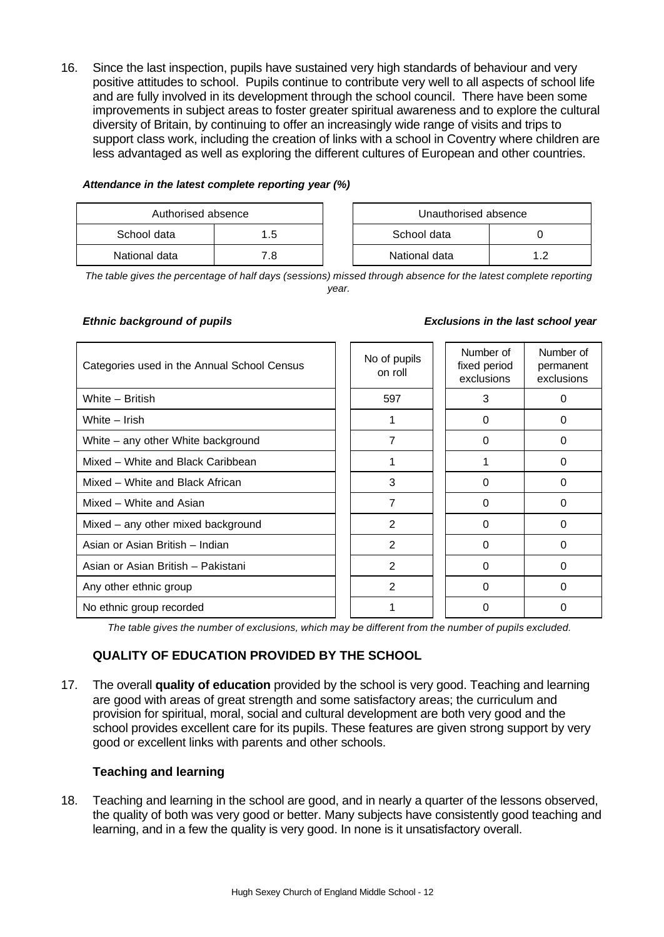16. Since the last inspection, pupils have sustained very high standards of behaviour and very positive attitudes to school. Pupils continue to contribute very well to all aspects of school life and are fully involved in its development through the school council. There have been some improvements in subject areas to foster greater spiritual awareness and to explore the cultural diversity of Britain, by continuing to offer an increasingly wide range of visits and trips to support class work, including the creation of links with a school in Coventry where children are less advantaged as well as exploring the different cultures of European and other countries.

| Attendance in the latest complete reporting year (%) |  |  |  |  |
|------------------------------------------------------|--|--|--|--|
|------------------------------------------------------|--|--|--|--|

| Authorised absence |     |  | Unauthorised absence |     |
|--------------------|-----|--|----------------------|-----|
| School data<br>1.5 |     |  | School data          |     |
| National data      | 7 R |  | National data        | ר ו |

| Unauthorised absence |    |  |  |  |
|----------------------|----|--|--|--|
| School data          |    |  |  |  |
| National data        | 12 |  |  |  |

*The table gives the percentage of half days (sessions) missed through absence for the latest complete reporting year.*

| Categories used in the Annual School Census | No of pupils<br>on roll | Number of<br>fixed period<br>exclusions | Number of<br>permanent<br>exclusions |
|---------------------------------------------|-------------------------|-----------------------------------------|--------------------------------------|
| White - British                             | 597                     | 3                                       | 0                                    |
| White - Irish                               |                         | 0                                       | 0                                    |
| White - any other White background          | 7                       | 0                                       | 0                                    |
| Mixed - White and Black Caribbean           |                         |                                         | 0                                    |
| Mixed - White and Black African             | 3                       | 0                                       | 0                                    |
| Mixed - White and Asian                     | 7                       | 0                                       | 0                                    |
| Mixed - any other mixed background          | $\mathfrak{p}$          | 0                                       | 0                                    |
| Asian or Asian British - Indian             | $\mathfrak{p}$          | 0                                       | 0                                    |
| Asian or Asian British - Pakistani          | $\overline{2}$          | 0                                       | 0                                    |
| Any other ethnic group                      | 2                       | 0                                       | 0                                    |
| No ethnic group recorded                    |                         | 0                                       | 0                                    |

*Ethnic background of pupils Exclusions in the last school year*

*The table gives the number of exclusions, which may be different from the number of pupils excluded.*

# **QUALITY OF EDUCATION PROVIDED BY THE SCHOOL**

17. The overall **quality of education** provided by the school is very good. Teaching and learning are good with areas of great strength and some satisfactory areas; the curriculum and provision for spiritual, moral, social and cultural development are both very good and the school provides excellent care for its pupils. These features are given strong support by very good or excellent links with parents and other schools.

# **Teaching and learning**

18. Teaching and learning in the school are good, and in nearly a quarter of the lessons observed, the quality of both was very good or better. Many subjects have consistently good teaching and learning, and in a few the quality is very good. In none is it unsatisfactory overall.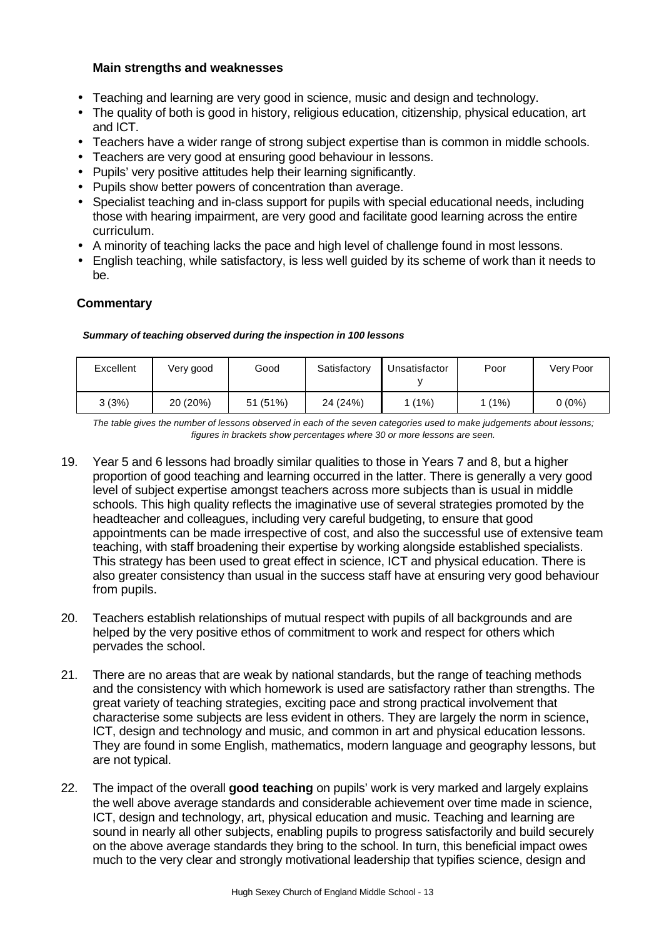# **Main strengths and weaknesses**

- Teaching and learning are very good in science, music and design and technology.
- The quality of both is good in history, religious education, citizenship, physical education, art and ICT.
- Teachers have a wider range of strong subject expertise than is common in middle schools.
- Teachers are very good at ensuring good behaviour in lessons.
- Pupils' very positive attitudes help their learning significantly.
- Pupils show better powers of concentration than average.
- Specialist teaching and in-class support for pupils with special educational needs, including those with hearing impairment, are very good and facilitate good learning across the entire curriculum.
- A minority of teaching lacks the pace and high level of challenge found in most lessons.
- English teaching, while satisfactory, is less well guided by its scheme of work than it needs to be.

# **Commentary**

#### *Summary of teaching observed during the inspection in 100 lessons*

| Excellent | Very good | Good     | Satisfactory | Unsatisfactor | Poor   | Very Poor |
|-----------|-----------|----------|--------------|---------------|--------|-----------|
| 3(3%)     | 20 (20%)  | 51 (51%) | 24 (24%)     | (1%)          | 1 (1%) | $0(0\%)$  |

*The table gives the number of lessons observed in each of the seven categories used to make judgements about lessons; figures in brackets show percentages where 30 or more lessons are seen.*

- 19. Year 5 and 6 lessons had broadly similar qualities to those in Years 7 and 8, but a higher proportion of good teaching and learning occurred in the latter. There is generally a very good level of subject expertise amongst teachers across more subjects than is usual in middle schools. This high quality reflects the imaginative use of several strategies promoted by the headteacher and colleagues, including very careful budgeting, to ensure that good appointments can be made irrespective of cost, and also the successful use of extensive team teaching, with staff broadening their expertise by working alongside established specialists. This strategy has been used to great effect in science, ICT and physical education. There is also greater consistency than usual in the success staff have at ensuring very good behaviour from pupils.
- 20. Teachers establish relationships of mutual respect with pupils of all backgrounds and are helped by the very positive ethos of commitment to work and respect for others which pervades the school.
- 21. There are no areas that are weak by national standards, but the range of teaching methods and the consistency with which homework is used are satisfactory rather than strengths. The great variety of teaching strategies, exciting pace and strong practical involvement that characterise some subjects are less evident in others. They are largely the norm in science, ICT, design and technology and music, and common in art and physical education lessons. They are found in some English, mathematics, modern language and geography lessons, but are not typical.
- 22. The impact of the overall **good teaching** on pupils' work is very marked and largely explains the well above average standards and considerable achievement over time made in science, ICT, design and technology, art, physical education and music. Teaching and learning are sound in nearly all other subjects, enabling pupils to progress satisfactorily and build securely on the above average standards they bring to the school. In turn, this beneficial impact owes much to the very clear and strongly motivational leadership that typifies science, design and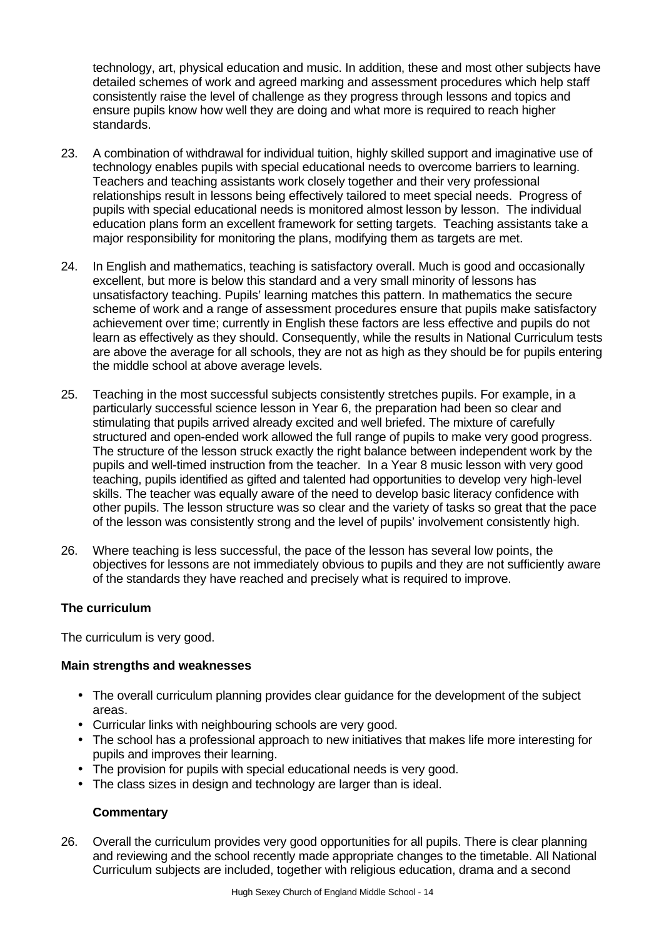technology, art, physical education and music. In addition, these and most other subjects have detailed schemes of work and agreed marking and assessment procedures which help staff consistently raise the level of challenge as they progress through lessons and topics and ensure pupils know how well they are doing and what more is required to reach higher standards.

- 23. A combination of withdrawal for individual tuition, highly skilled support and imaginative use of technology enables pupils with special educational needs to overcome barriers to learning. Teachers and teaching assistants work closely together and their very professional relationships result in lessons being effectively tailored to meet special needs. Progress of pupils with special educational needs is monitored almost lesson by lesson. The individual education plans form an excellent framework for setting targets. Teaching assistants take a major responsibility for monitoring the plans, modifying them as targets are met.
- 24. In English and mathematics, teaching is satisfactory overall. Much is good and occasionally excellent, but more is below this standard and a very small minority of lessons has unsatisfactory teaching. Pupils' learning matches this pattern. In mathematics the secure scheme of work and a range of assessment procedures ensure that pupils make satisfactory achievement over time; currently in English these factors are less effective and pupils do not learn as effectively as they should. Consequently, while the results in National Curriculum tests are above the average for all schools, they are not as high as they should be for pupils entering the middle school at above average levels.
- 25. Teaching in the most successful subjects consistently stretches pupils. For example, in a particularly successful science lesson in Year 6, the preparation had been so clear and stimulating that pupils arrived already excited and well briefed. The mixture of carefully structured and open-ended work allowed the full range of pupils to make very good progress. The structure of the lesson struck exactly the right balance between independent work by the pupils and well-timed instruction from the teacher. In a Year 8 music lesson with very good teaching, pupils identified as gifted and talented had opportunities to develop very high-level skills. The teacher was equally aware of the need to develop basic literacy confidence with other pupils. The lesson structure was so clear and the variety of tasks so great that the pace of the lesson was consistently strong and the level of pupils' involvement consistently high.
- 26. Where teaching is less successful, the pace of the lesson has several low points, the objectives for lessons are not immediately obvious to pupils and they are not sufficiently aware of the standards they have reached and precisely what is required to improve.

# **The curriculum**

The curriculum is very good.

# **Main strengths and weaknesses**

- The overall curriculum planning provides clear guidance for the development of the subject areas.
- Curricular links with neighbouring schools are very good.
- The school has a professional approach to new initiatives that makes life more interesting for pupils and improves their learning.
- The provision for pupils with special educational needs is very good.
- The class sizes in design and technology are larger than is ideal.

# **Commentary**

26. Overall the curriculum provides very good opportunities for all pupils. There is clear planning and reviewing and the school recently made appropriate changes to the timetable. All National Curriculum subjects are included, together with religious education, drama and a second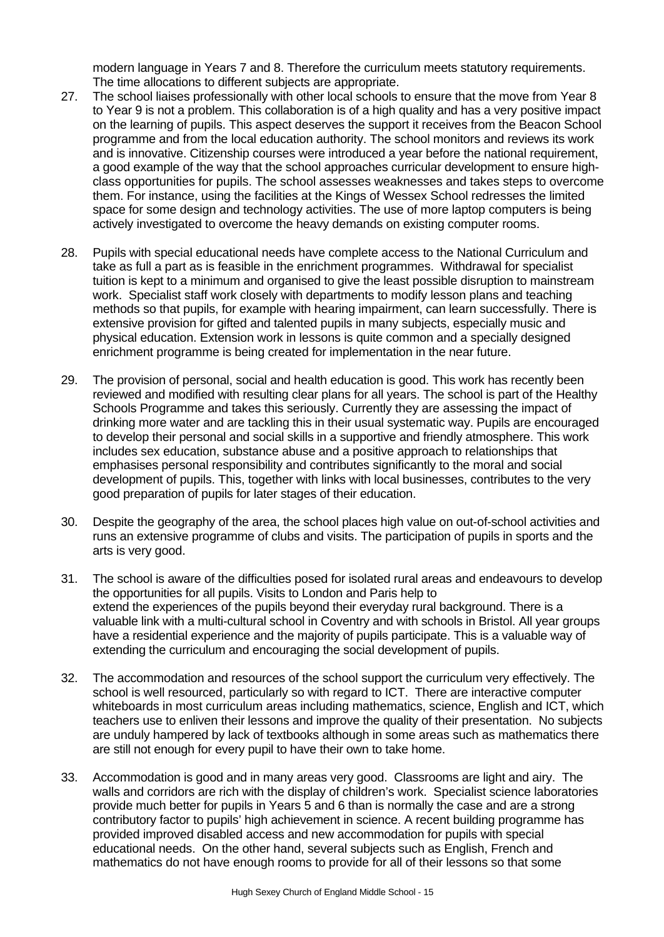modern language in Years 7 and 8. Therefore the curriculum meets statutory requirements. The time allocations to different subjects are appropriate.

- 27. The school liaises professionally with other local schools to ensure that the move from Year 8 to Year 9 is not a problem. This collaboration is of a high quality and has a very positive impact on the learning of pupils. This aspect deserves the support it receives from the Beacon School programme and from the local education authority. The school monitors and reviews its work and is innovative. Citizenship courses were introduced a year before the national requirement, a good example of the way that the school approaches curricular development to ensure highclass opportunities for pupils. The school assesses weaknesses and takes steps to overcome them. For instance, using the facilities at the Kings of Wessex School redresses the limited space for some design and technology activities. The use of more laptop computers is being actively investigated to overcome the heavy demands on existing computer rooms.
- 28. Pupils with special educational needs have complete access to the National Curriculum and take as full a part as is feasible in the enrichment programmes. Withdrawal for specialist tuition is kept to a minimum and organised to give the least possible disruption to mainstream work. Specialist staff work closely with departments to modify lesson plans and teaching methods so that pupils, for example with hearing impairment, can learn successfully. There is extensive provision for gifted and talented pupils in many subjects, especially music and physical education. Extension work in lessons is quite common and a specially designed enrichment programme is being created for implementation in the near future.
- 29. The provision of personal, social and health education is good. This work has recently been reviewed and modified with resulting clear plans for all years. The school is part of the Healthy Schools Programme and takes this seriously. Currently they are assessing the impact of drinking more water and are tackling this in their usual systematic way. Pupils are encouraged to develop their personal and social skills in a supportive and friendly atmosphere. This work includes sex education, substance abuse and a positive approach to relationships that emphasises personal responsibility and contributes significantly to the moral and social development of pupils. This, together with links with local businesses, contributes to the very good preparation of pupils for later stages of their education.
- 30. Despite the geography of the area, the school places high value on out-of-school activities and runs an extensive programme of clubs and visits. The participation of pupils in sports and the arts is very good.
- 31. The school is aware of the difficulties posed for isolated rural areas and endeavours to develop the opportunities for all pupils. Visits to London and Paris help to extend the experiences of the pupils beyond their everyday rural background. There is a valuable link with a multi-cultural school in Coventry and with schools in Bristol. All year groups have a residential experience and the majority of pupils participate. This is a valuable way of extending the curriculum and encouraging the social development of pupils.
- 32. The accommodation and resources of the school support the curriculum very effectively. The school is well resourced, particularly so with regard to ICT. There are interactive computer whiteboards in most curriculum areas including mathematics, science, English and ICT, which teachers use to enliven their lessons and improve the quality of their presentation. No subjects are unduly hampered by lack of textbooks although in some areas such as mathematics there are still not enough for every pupil to have their own to take home.
- 33. Accommodation is good and in many areas very good. Classrooms are light and airy. The walls and corridors are rich with the display of children's work. Specialist science laboratories provide much better for pupils in Years 5 and 6 than is normally the case and are a strong contributory factor to pupils' high achievement in science. A recent building programme has provided improved disabled access and new accommodation for pupils with special educational needs. On the other hand, several subjects such as English, French and mathematics do not have enough rooms to provide for all of their lessons so that some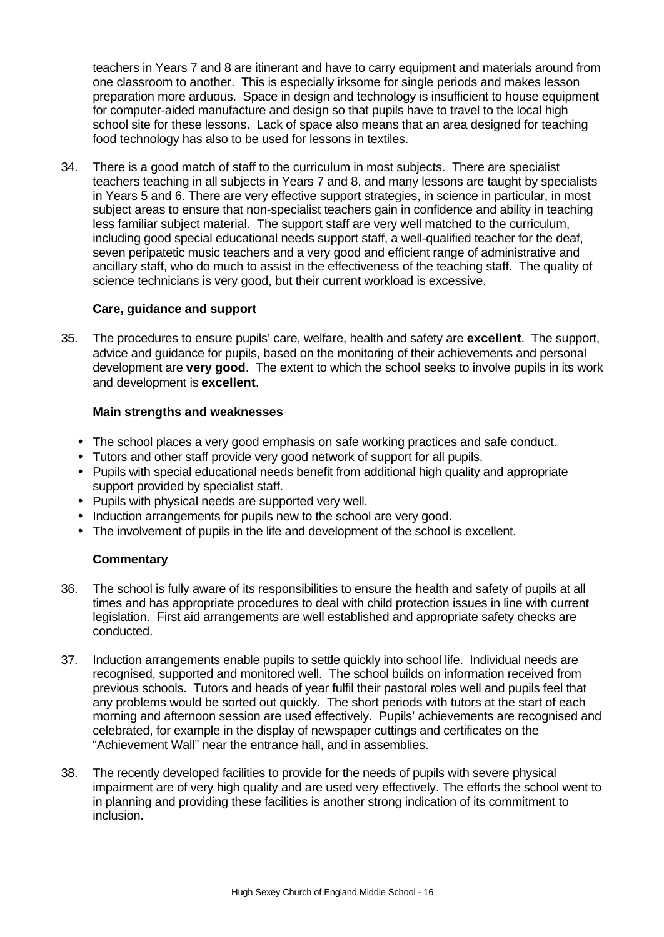teachers in Years 7 and 8 are itinerant and have to carry equipment and materials around from one classroom to another. This is especially irksome for single periods and makes lesson preparation more arduous. Space in design and technology is insufficient to house equipment for computer-aided manufacture and design so that pupils have to travel to the local high school site for these lessons. Lack of space also means that an area designed for teaching food technology has also to be used for lessons in textiles.

34. There is a good match of staff to the curriculum in most subjects. There are specialist teachers teaching in all subjects in Years 7 and 8, and many lessons are taught by specialists in Years 5 and 6. There are very effective support strategies, in science in particular, in most subject areas to ensure that non-specialist teachers gain in confidence and ability in teaching less familiar subject material. The support staff are very well matched to the curriculum, including good special educational needs support staff, a well-qualified teacher for the deaf, seven peripatetic music teachers and a very good and efficient range of administrative and ancillary staff, who do much to assist in the effectiveness of the teaching staff. The quality of science technicians is very good, but their current workload is excessive.

# **Care, guidance and support**

35. The procedures to ensure pupils' care, welfare, health and safety are **excellent**. The support, advice and guidance for pupils, based on the monitoring of their achievements and personal development are **very good**. The extent to which the school seeks to involve pupils in its work and development is **excellent**.

# **Main strengths and weaknesses**

- The school places a very good emphasis on safe working practices and safe conduct.
- Tutors and other staff provide very good network of support for all pupils.
- Pupils with special educational needs benefit from additional high quality and appropriate support provided by specialist staff.
- Pupils with physical needs are supported very well.
- Induction arrangements for pupils new to the school are very good.
- The involvement of pupils in the life and development of the school is excellent.

# **Commentary**

- 36. The school is fully aware of its responsibilities to ensure the health and safety of pupils at all times and has appropriate procedures to deal with child protection issues in line with current legislation. First aid arrangements are well established and appropriate safety checks are conducted.
- 37. Induction arrangements enable pupils to settle quickly into school life. Individual needs are recognised, supported and monitored well. The school builds on information received from previous schools. Tutors and heads of year fulfil their pastoral roles well and pupils feel that any problems would be sorted out quickly. The short periods with tutors at the start of each morning and afternoon session are used effectively. Pupils' achievements are recognised and celebrated, for example in the display of newspaper cuttings and certificates on the "Achievement Wall" near the entrance hall, and in assemblies.
- 38. The recently developed facilities to provide for the needs of pupils with severe physical impairment are of very high quality and are used very effectively. The efforts the school went to in planning and providing these facilities is another strong indication of its commitment to inclusion.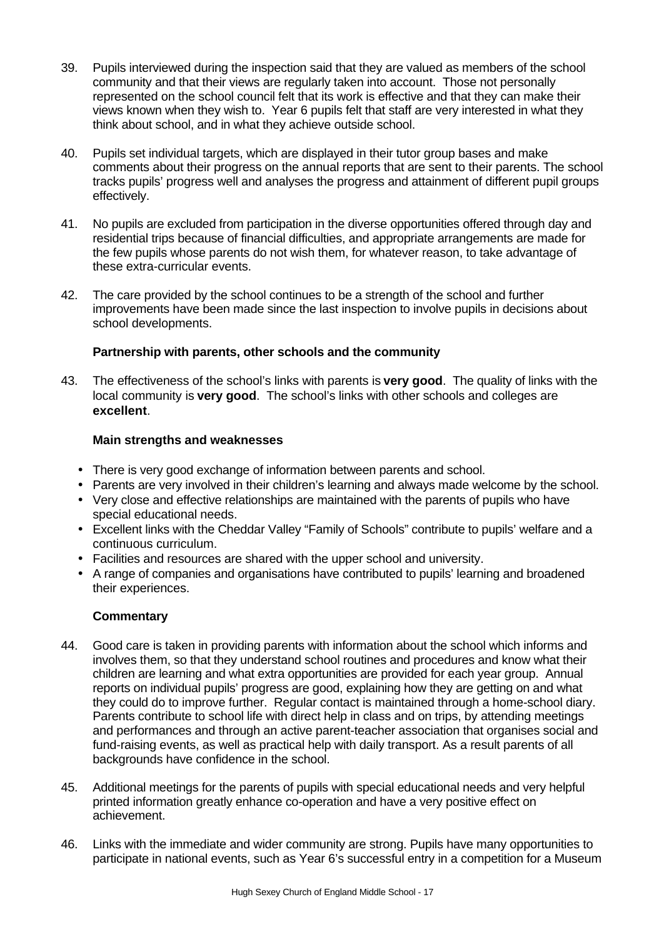- 39. Pupils interviewed during the inspection said that they are valued as members of the school community and that their views are regularly taken into account. Those not personally represented on the school council felt that its work is effective and that they can make their views known when they wish to. Year 6 pupils felt that staff are very interested in what they think about school, and in what they achieve outside school.
- 40. Pupils set individual targets, which are displayed in their tutor group bases and make comments about their progress on the annual reports that are sent to their parents. The school tracks pupils' progress well and analyses the progress and attainment of different pupil groups effectively.
- 41. No pupils are excluded from participation in the diverse opportunities offered through day and residential trips because of financial difficulties, and appropriate arrangements are made for the few pupils whose parents do not wish them, for whatever reason, to take advantage of these extra-curricular events.
- 42. The care provided by the school continues to be a strength of the school and further improvements have been made since the last inspection to involve pupils in decisions about school developments.

# **Partnership with parents, other schools and the community**

43. The effectiveness of the school's links with parents is **very good**. The quality of links with the local community is **very good**. The school's links with other schools and colleges are **excellent**.

# **Main strengths and weaknesses**

- There is very good exchange of information between parents and school.
- Parents are very involved in their children's learning and always made welcome by the school.
- Very close and effective relationships are maintained with the parents of pupils who have special educational needs.
- Excellent links with the Cheddar Valley "Family of Schools" contribute to pupils' welfare and a continuous curriculum.
- Facilities and resources are shared with the upper school and university.
- A range of companies and organisations have contributed to pupils' learning and broadened their experiences.

# **Commentary**

- 44. Good care is taken in providing parents with information about the school which informs and involves them, so that they understand school routines and procedures and know what their children are learning and what extra opportunities are provided for each year group. Annual reports on individual pupils' progress are good, explaining how they are getting on and what they could do to improve further. Regular contact is maintained through a home-school diary. Parents contribute to school life with direct help in class and on trips, by attending meetings and performances and through an active parent-teacher association that organises social and fund-raising events, as well as practical help with daily transport. As a result parents of all backgrounds have confidence in the school.
- 45. Additional meetings for the parents of pupils with special educational needs and very helpful printed information greatly enhance co-operation and have a very positive effect on achievement.
- 46. Links with the immediate and wider community are strong. Pupils have many opportunities to participate in national events, such as Year 6's successful entry in a competition for a Museum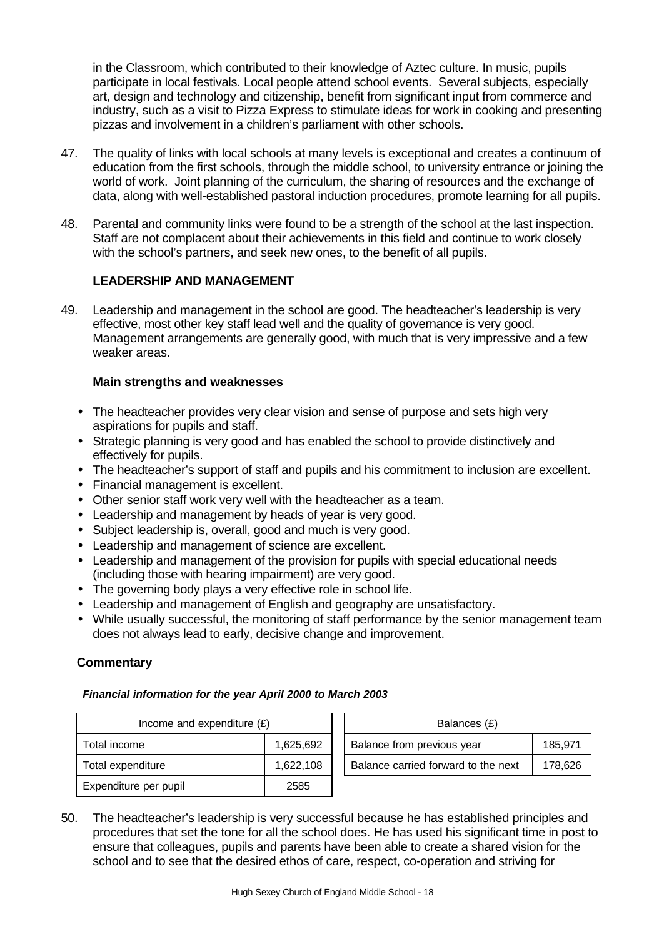in the Classroom, which contributed to their knowledge of Aztec culture. In music, pupils participate in local festivals. Local people attend school events. Several subjects, especially art, design and technology and citizenship, benefit from significant input from commerce and industry, such as a visit to Pizza Express to stimulate ideas for work in cooking and presenting pizzas and involvement in a children's parliament with other schools.

- 47. The quality of links with local schools at many levels is exceptional and creates a continuum of education from the first schools, through the middle school, to university entrance or joining the world of work. Joint planning of the curriculum, the sharing of resources and the exchange of data, along with well-established pastoral induction procedures, promote learning for all pupils.
- 48. Parental and community links were found to be a strength of the school at the last inspection. Staff are not complacent about their achievements in this field and continue to work closely with the school's partners, and seek new ones, to the benefit of all pupils.

# **LEADERSHIP AND MANAGEMENT**

49. Leadership and management in the school are good. The headteacher's leadership is very effective, most other key staff lead well and the quality of governance is very good. Management arrangements are generally good, with much that is very impressive and a few weaker areas.

# **Main strengths and weaknesses**

- The headteacher provides very clear vision and sense of purpose and sets high very aspirations for pupils and staff.
- Strategic planning is very good and has enabled the school to provide distinctively and effectively for pupils.
- The headteacher's support of staff and pupils and his commitment to inclusion are excellent.
- Financial management is excellent.
- Other senior staff work very well with the headteacher as a team.
- Leadership and management by heads of year is very good.
- Subject leadership is, overall, good and much is very good.
- Leadership and management of science are excellent.
- Leadership and management of the provision for pupils with special educational needs (including those with hearing impairment) are very good.
- The governing body plays a very effective role in school life.
- Leadership and management of English and geography are unsatisfactory.
- While usually successful, the monitoring of staff performance by the senior management team does not always lead to early, decisive change and improvement.

# **Commentary**

#### *Financial information for the year April 2000 to March 2003*

| Income and expenditure $(E)$   |           | Balances (£)                                   |
|--------------------------------|-----------|------------------------------------------------|
| Total income                   | 1,625,692 | Balance from previous year<br>185,971          |
| Total expenditure<br>1,622,108 |           | Balance carried forward to the next<br>178,626 |
| Expenditure per pupil<br>2585  |           |                                                |

50. The headteacher's leadership is very successful because he has established principles and procedures that set the tone for all the school does. He has used his significant time in post to ensure that colleagues, pupils and parents have been able to create a shared vision for the school and to see that the desired ethos of care, respect, co-operation and striving for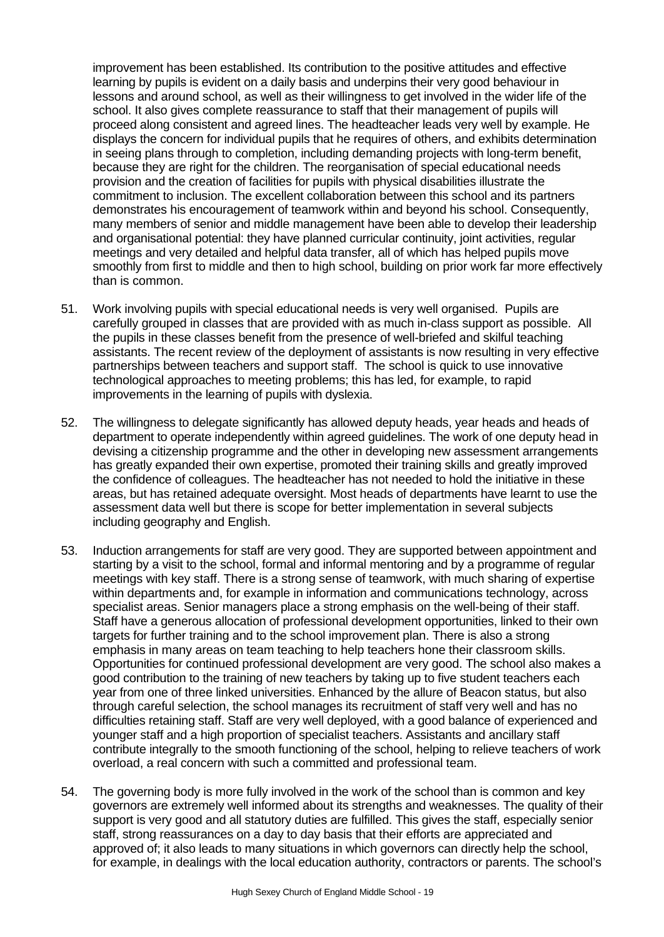improvement has been established. Its contribution to the positive attitudes and effective learning by pupils is evident on a daily basis and underpins their very good behaviour in lessons and around school, as well as their willingness to get involved in the wider life of the school. It also gives complete reassurance to staff that their management of pupils will proceed along consistent and agreed lines. The headteacher leads very well by example. He displays the concern for individual pupils that he requires of others, and exhibits determination in seeing plans through to completion, including demanding projects with long-term benefit, because they are right for the children. The reorganisation of special educational needs provision and the creation of facilities for pupils with physical disabilities illustrate the commitment to inclusion. The excellent collaboration between this school and its partners demonstrates his encouragement of teamwork within and beyond his school. Consequently, many members of senior and middle management have been able to develop their leadership and organisational potential: they have planned curricular continuity, joint activities, regular meetings and very detailed and helpful data transfer, all of which has helped pupils move smoothly from first to middle and then to high school, building on prior work far more effectively than is common.

- 51. Work involving pupils with special educational needs is very well organised. Pupils are carefully grouped in classes that are provided with as much in-class support as possible. All the pupils in these classes benefit from the presence of well-briefed and skilful teaching assistants. The recent review of the deployment of assistants is now resulting in very effective partnerships between teachers and support staff. The school is quick to use innovative technological approaches to meeting problems; this has led, for example, to rapid improvements in the learning of pupils with dyslexia.
- 52. The willingness to delegate significantly has allowed deputy heads, year heads and heads of department to operate independently within agreed guidelines. The work of one deputy head in devising a citizenship programme and the other in developing new assessment arrangements has greatly expanded their own expertise, promoted their training skills and greatly improved the confidence of colleagues. The headteacher has not needed to hold the initiative in these areas, but has retained adequate oversight. Most heads of departments have learnt to use the assessment data well but there is scope for better implementation in several subjects including geography and English.
- 53. Induction arrangements for staff are very good. They are supported between appointment and starting by a visit to the school, formal and informal mentoring and by a programme of regular meetings with key staff. There is a strong sense of teamwork, with much sharing of expertise within departments and, for example in information and communications technology, across specialist areas. Senior managers place a strong emphasis on the well-being of their staff. Staff have a generous allocation of professional development opportunities, linked to their own targets for further training and to the school improvement plan. There is also a strong emphasis in many areas on team teaching to help teachers hone their classroom skills. Opportunities for continued professional development are very good. The school also makes a good contribution to the training of new teachers by taking up to five student teachers each year from one of three linked universities. Enhanced by the allure of Beacon status, but also through careful selection, the school manages its recruitment of staff very well and has no difficulties retaining staff. Staff are very well deployed, with a good balance of experienced and younger staff and a high proportion of specialist teachers. Assistants and ancillary staff contribute integrally to the smooth functioning of the school, helping to relieve teachers of work overload, a real concern with such a committed and professional team.
- 54. The governing body is more fully involved in the work of the school than is common and key governors are extremely well informed about its strengths and weaknesses. The quality of their support is very good and all statutory duties are fulfilled. This gives the staff, especially senior staff, strong reassurances on a day to day basis that their efforts are appreciated and approved of; it also leads to many situations in which governors can directly help the school, for example, in dealings with the local education authority, contractors or parents. The school's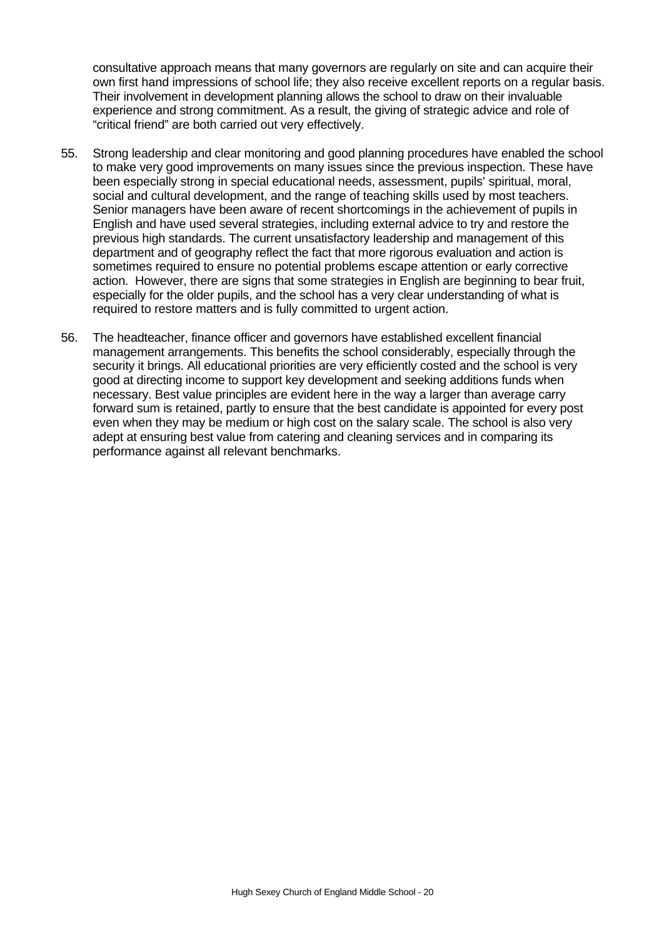consultative approach means that many governors are regularly on site and can acquire their own first hand impressions of school life; they also receive excellent reports on a regular basis. Their involvement in development planning allows the school to draw on their invaluable experience and strong commitment. As a result, the giving of strategic advice and role of "critical friend" are both carried out very effectively.

- 55. Strong leadership and clear monitoring and good planning procedures have enabled the school to make very good improvements on many issues since the previous inspection. These have been especially strong in special educational needs, assessment, pupils' spiritual, moral, social and cultural development, and the range of teaching skills used by most teachers. Senior managers have been aware of recent shortcomings in the achievement of pupils in English and have used several strategies, including external advice to try and restore the previous high standards. The current unsatisfactory leadership and management of this department and of geography reflect the fact that more rigorous evaluation and action is sometimes required to ensure no potential problems escape attention or early corrective action. However, there are signs that some strategies in English are beginning to bear fruit, especially for the older pupils, and the school has a very clear understanding of what is required to restore matters and is fully committed to urgent action.
- 56. The headteacher, finance officer and governors have established excellent financial management arrangements. This benefits the school considerably, especially through the security it brings. All educational priorities are very efficiently costed and the school is very good at directing income to support key development and seeking additions funds when necessary. Best value principles are evident here in the way a larger than average carry forward sum is retained, partly to ensure that the best candidate is appointed for every post even when they may be medium or high cost on the salary scale. The school is also very adept at ensuring best value from catering and cleaning services and in comparing its performance against all relevant benchmarks.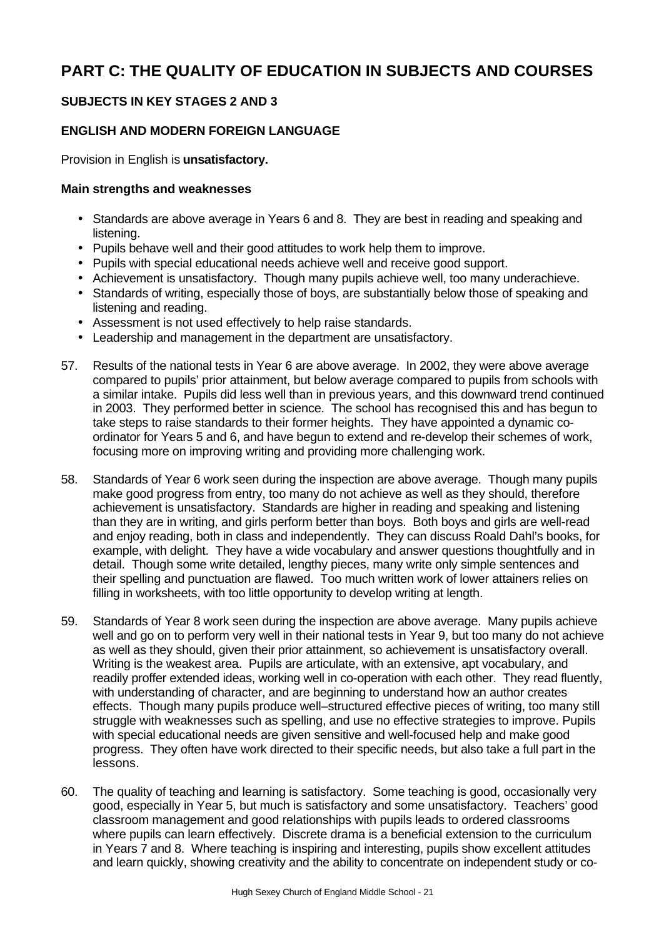# **PART C: THE QUALITY OF EDUCATION IN SUBJECTS AND COURSES**

# **SUBJECTS IN KEY STAGES 2 AND 3**

# **ENGLISH AND MODERN FOREIGN LANGUAGE**

Provision in English is **unsatisfactory.**

- Standards are above average in Years 6 and 8. They are best in reading and speaking and listening.
- Pupils behave well and their good attitudes to work help them to improve.
- Pupils with special educational needs achieve well and receive good support.
- Achievement is unsatisfactory. Though many pupils achieve well, too many underachieve.
- Standards of writing, especially those of boys, are substantially below those of speaking and listening and reading.
- Assessment is not used effectively to help raise standards.
- Leadership and management in the department are unsatisfactory.
- 57. Results of the national tests in Year 6 are above average. In 2002, they were above average compared to pupils' prior attainment, but below average compared to pupils from schools with a similar intake. Pupils did less well than in previous years, and this downward trend continued in 2003. They performed better in science. The school has recognised this and has begun to take steps to raise standards to their former heights. They have appointed a dynamic coordinator for Years 5 and 6, and have begun to extend and re-develop their schemes of work, focusing more on improving writing and providing more challenging work.
- 58. Standards of Year 6 work seen during the inspection are above average. Though many pupils make good progress from entry, too many do not achieve as well as they should, therefore achievement is unsatisfactory. Standards are higher in reading and speaking and listening than they are in writing, and girls perform better than boys. Both boys and girls are well-read and enjoy reading, both in class and independently. They can discuss Roald Dahl's books, for example, with delight. They have a wide vocabulary and answer questions thoughtfully and in detail. Though some write detailed, lengthy pieces, many write only simple sentences and their spelling and punctuation are flawed. Too much written work of lower attainers relies on filling in worksheets, with too little opportunity to develop writing at length.
- 59. Standards of Year 8 work seen during the inspection are above average. Many pupils achieve well and go on to perform very well in their national tests in Year 9, but too many do not achieve as well as they should, given their prior attainment, so achievement is unsatisfactory overall. Writing is the weakest area. Pupils are articulate, with an extensive, apt vocabulary, and readily proffer extended ideas, working well in co-operation with each other. They read fluently, with understanding of character, and are beginning to understand how an author creates effects. Though many pupils produce well–structured effective pieces of writing, too many still struggle with weaknesses such as spelling, and use no effective strategies to improve. Pupils with special educational needs are given sensitive and well-focused help and make good progress. They often have work directed to their specific needs, but also take a full part in the lessons.
- 60. The quality of teaching and learning is satisfactory. Some teaching is good, occasionally very good, especially in Year 5, but much is satisfactory and some unsatisfactory. Teachers' good classroom management and good relationships with pupils leads to ordered classrooms where pupils can learn effectively. Discrete drama is a beneficial extension to the curriculum in Years 7 and 8. Where teaching is inspiring and interesting, pupils show excellent attitudes and learn quickly, showing creativity and the ability to concentrate on independent study or co-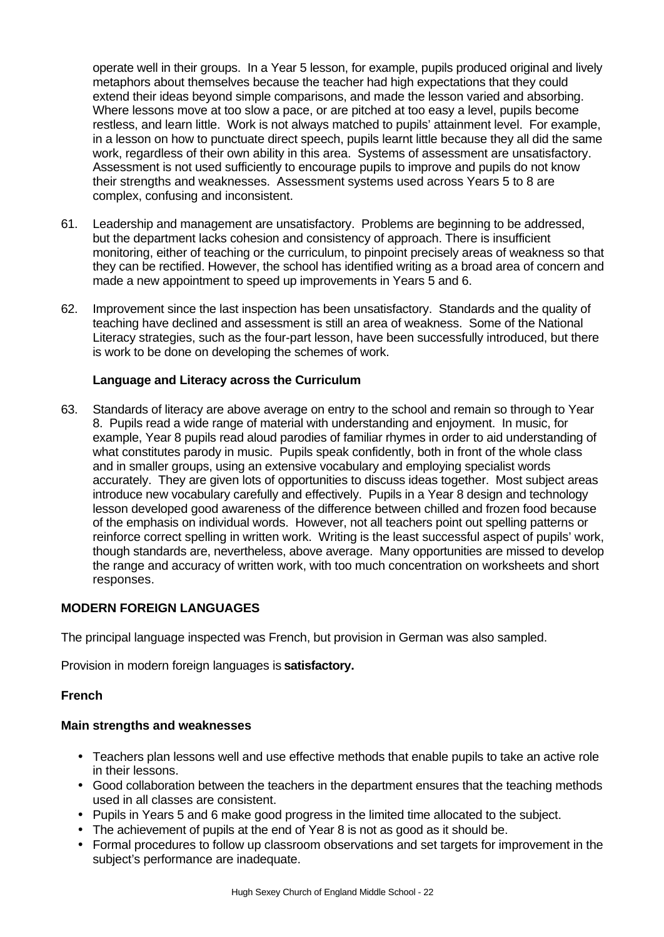operate well in their groups. In a Year 5 lesson, for example, pupils produced original and lively metaphors about themselves because the teacher had high expectations that they could extend their ideas beyond simple comparisons, and made the lesson varied and absorbing. Where lessons move at too slow a pace, or are pitched at too easy a level, pupils become restless, and learn little. Work is not always matched to pupils' attainment level. For example, in a lesson on how to punctuate direct speech, pupils learnt little because they all did the same work, regardless of their own ability in this area. Systems of assessment are unsatisfactory. Assessment is not used sufficiently to encourage pupils to improve and pupils do not know their strengths and weaknesses. Assessment systems used across Years 5 to 8 are complex, confusing and inconsistent.

- 61. Leadership and management are unsatisfactory. Problems are beginning to be addressed, but the department lacks cohesion and consistency of approach. There is insufficient monitoring, either of teaching or the curriculum, to pinpoint precisely areas of weakness so that they can be rectified. However, the school has identified writing as a broad area of concern and made a new appointment to speed up improvements in Years 5 and 6.
- 62. Improvement since the last inspection has been unsatisfactory. Standards and the quality of teaching have declined and assessment is still an area of weakness. Some of the National Literacy strategies, such as the four-part lesson, have been successfully introduced, but there is work to be done on developing the schemes of work.

# **Language and Literacy across the Curriculum**

63. Standards of literacy are above average on entry to the school and remain so through to Year 8. Pupils read a wide range of material with understanding and enjoyment. In music, for example, Year 8 pupils read aloud parodies of familiar rhymes in order to aid understanding of what constitutes parody in music. Pupils speak confidently, both in front of the whole class and in smaller groups, using an extensive vocabulary and employing specialist words accurately. They are given lots of opportunities to discuss ideas together. Most subject areas introduce new vocabulary carefully and effectively. Pupils in a Year 8 design and technology lesson developed good awareness of the difference between chilled and frozen food because of the emphasis on individual words. However, not all teachers point out spelling patterns or reinforce correct spelling in written work. Writing is the least successful aspect of pupils' work, though standards are, nevertheless, above average. Many opportunities are missed to develop the range and accuracy of written work, with too much concentration on worksheets and short responses.

# **MODERN FOREIGN LANGUAGES**

The principal language inspected was French, but provision in German was also sampled.

Provision in modern foreign languages is **satisfactory.**

# **French**

- Teachers plan lessons well and use effective methods that enable pupils to take an active role in their lessons.
- Good collaboration between the teachers in the department ensures that the teaching methods used in all classes are consistent.
- Pupils in Years 5 and 6 make good progress in the limited time allocated to the subject.
- The achievement of pupils at the end of Year 8 is not as good as it should be.
- Formal procedures to follow up classroom observations and set targets for improvement in the subject's performance are inadequate.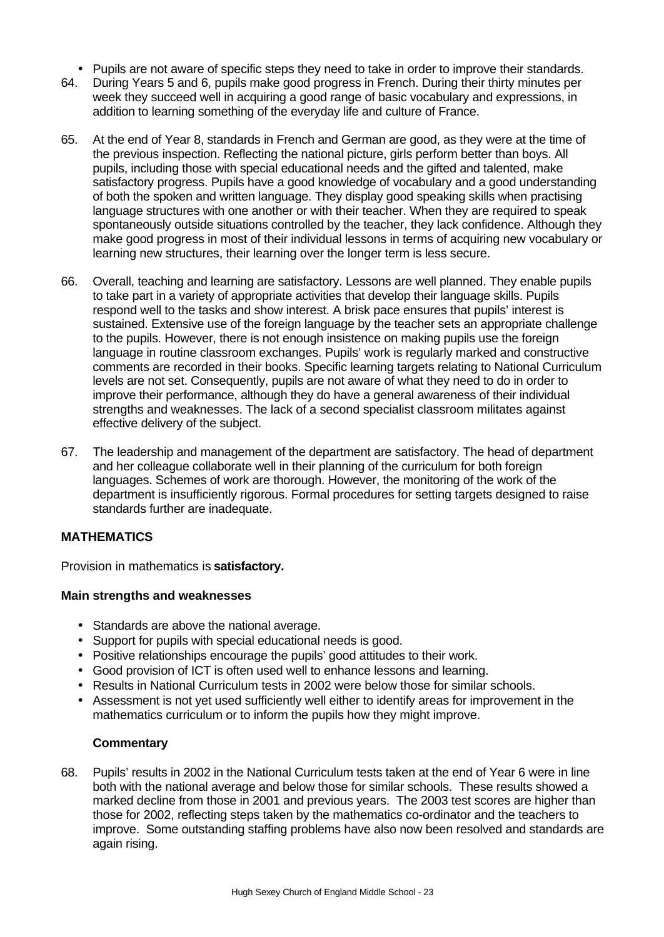- Pupils are not aware of specific steps they need to take in order to improve their standards.
- 64. During Years 5 and 6, pupils make good progress in French. During their thirty minutes per week they succeed well in acquiring a good range of basic vocabulary and expressions, in addition to learning something of the everyday life and culture of France.
- 65. At the end of Year 8, standards in French and German are good, as they were at the time of the previous inspection. Reflecting the national picture, girls perform better than boys. All pupils, including those with special educational needs and the gifted and talented, make satisfactory progress. Pupils have a good knowledge of vocabulary and a good understanding of both the spoken and written language. They display good speaking skills when practising language structures with one another or with their teacher. When they are required to speak spontaneously outside situations controlled by the teacher, they lack confidence. Although they make good progress in most of their individual lessons in terms of acquiring new vocabulary or learning new structures, their learning over the longer term is less secure.
- 66. Overall, teaching and learning are satisfactory. Lessons are well planned. They enable pupils to take part in a variety of appropriate activities that develop their language skills. Pupils respond well to the tasks and show interest. A brisk pace ensures that pupils' interest is sustained. Extensive use of the foreign language by the teacher sets an appropriate challenge to the pupils. However, there is not enough insistence on making pupils use the foreign language in routine classroom exchanges. Pupils' work is regularly marked and constructive comments are recorded in their books. Specific learning targets relating to National Curriculum levels are not set. Consequently, pupils are not aware of what they need to do in order to improve their performance, although they do have a general awareness of their individual strengths and weaknesses. The lack of a second specialist classroom militates against effective delivery of the subject.
- 67. The leadership and management of the department are satisfactory. The head of department and her colleague collaborate well in their planning of the curriculum for both foreign languages. Schemes of work are thorough. However, the monitoring of the work of the department is insufficiently rigorous. Formal procedures for setting targets designed to raise standards further are inadequate.

# **MATHEMATICS**

Provision in mathematics is **satisfactory.**

# **Main strengths and weaknesses**

- Standards are above the national average.
- Support for pupils with special educational needs is good.
- Positive relationships encourage the pupils' good attitudes to their work.
- Good provision of ICT is often used well to enhance lessons and learning.
- Results in National Curriculum tests in 2002 were below those for similar schools.
- Assessment is not yet used sufficiently well either to identify areas for improvement in the mathematics curriculum or to inform the pupils how they might improve.

#### **Commentary**

68. Pupils' results in 2002 in the National Curriculum tests taken at the end of Year 6 were in line both with the national average and below those for similar schools. These results showed a marked decline from those in 2001 and previous years. The 2003 test scores are higher than those for 2002, reflecting steps taken by the mathematics co-ordinator and the teachers to improve. Some outstanding staffing problems have also now been resolved and standards are again rising.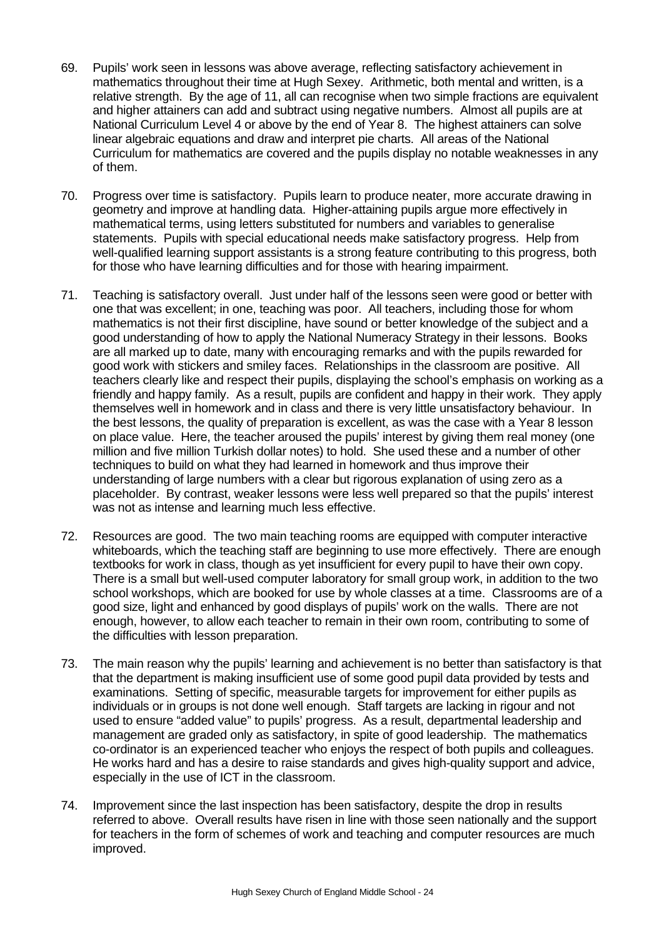- 69. Pupils' work seen in lessons was above average, reflecting satisfactory achievement in mathematics throughout their time at Hugh Sexey. Arithmetic, both mental and written, is a relative strength. By the age of 11, all can recognise when two simple fractions are equivalent and higher attainers can add and subtract using negative numbers. Almost all pupils are at National Curriculum Level 4 or above by the end of Year 8. The highest attainers can solve linear algebraic equations and draw and interpret pie charts. All areas of the National Curriculum for mathematics are covered and the pupils display no notable weaknesses in any of them.
- 70. Progress over time is satisfactory. Pupils learn to produce neater, more accurate drawing in geometry and improve at handling data. Higher-attaining pupils argue more effectively in mathematical terms, using letters substituted for numbers and variables to generalise statements. Pupils with special educational needs make satisfactory progress. Help from well-qualified learning support assistants is a strong feature contributing to this progress, both for those who have learning difficulties and for those with hearing impairment.
- 71. Teaching is satisfactory overall. Just under half of the lessons seen were good or better with one that was excellent; in one, teaching was poor. All teachers, including those for whom mathematics is not their first discipline, have sound or better knowledge of the subject and a good understanding of how to apply the National Numeracy Strategy in their lessons. Books are all marked up to date, many with encouraging remarks and with the pupils rewarded for good work with stickers and smiley faces. Relationships in the classroom are positive. All teachers clearly like and respect their pupils, displaying the school's emphasis on working as a friendly and happy family. As a result, pupils are confident and happy in their work. They apply themselves well in homework and in class and there is very little unsatisfactory behaviour. In the best lessons, the quality of preparation is excellent, as was the case with a Year 8 lesson on place value. Here, the teacher aroused the pupils' interest by giving them real money (one million and five million Turkish dollar notes) to hold. She used these and a number of other techniques to build on what they had learned in homework and thus improve their understanding of large numbers with a clear but rigorous explanation of using zero as a placeholder. By contrast, weaker lessons were less well prepared so that the pupils' interest was not as intense and learning much less effective.
- 72. Resources are good. The two main teaching rooms are equipped with computer interactive whiteboards, which the teaching staff are beginning to use more effectively. There are enough textbooks for work in class, though as yet insufficient for every pupil to have their own copy. There is a small but well-used computer laboratory for small group work, in addition to the two school workshops, which are booked for use by whole classes at a time. Classrooms are of a good size, light and enhanced by good displays of pupils' work on the walls. There are not enough, however, to allow each teacher to remain in their own room, contributing to some of the difficulties with lesson preparation.
- 73. The main reason why the pupils' learning and achievement is no better than satisfactory is that that the department is making insufficient use of some good pupil data provided by tests and examinations. Setting of specific, measurable targets for improvement for either pupils as individuals or in groups is not done well enough. Staff targets are lacking in rigour and not used to ensure "added value" to pupils' progress. As a result, departmental leadership and management are graded only as satisfactory, in spite of good leadership. The mathematics co-ordinator is an experienced teacher who enjoys the respect of both pupils and colleagues. He works hard and has a desire to raise standards and gives high-quality support and advice, especially in the use of ICT in the classroom.
- 74. Improvement since the last inspection has been satisfactory, despite the drop in results referred to above. Overall results have risen in line with those seen nationally and the support for teachers in the form of schemes of work and teaching and computer resources are much improved.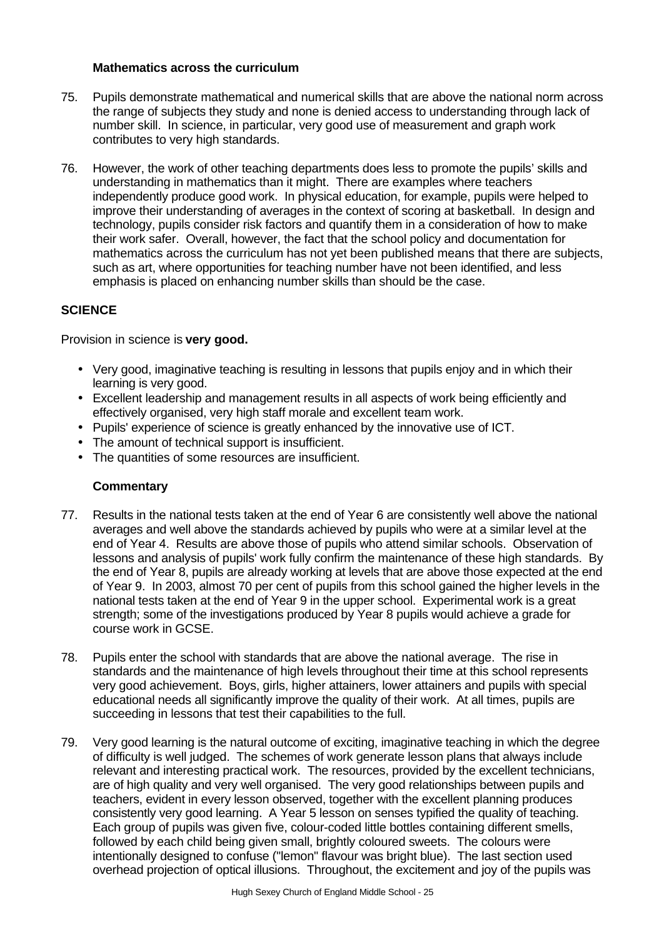#### **Mathematics across the curriculum**

- 75. Pupils demonstrate mathematical and numerical skills that are above the national norm across the range of subjects they study and none is denied access to understanding through lack of number skill. In science, in particular, very good use of measurement and graph work contributes to very high standards.
- 76. However, the work of other teaching departments does less to promote the pupils' skills and understanding in mathematics than it might. There are examples where teachers independently produce good work. In physical education, for example, pupils were helped to improve their understanding of averages in the context of scoring at basketball. In design and technology, pupils consider risk factors and quantify them in a consideration of how to make their work safer. Overall, however, the fact that the school policy and documentation for mathematics across the curriculum has not yet been published means that there are subjects, such as art, where opportunities for teaching number have not been identified, and less emphasis is placed on enhancing number skills than should be the case.

# **SCIENCE**

Provision in science is **very good.**

- Very good, imaginative teaching is resulting in lessons that pupils enjoy and in which their learning is very good.
- Excellent leadership and management results in all aspects of work being efficiently and effectively organised, very high staff morale and excellent team work.
- Pupils' experience of science is greatly enhanced by the innovative use of ICT.
- The amount of technical support is insufficient.
- The quantities of some resources are insufficient.

# **Commentary**

- 77. Results in the national tests taken at the end of Year 6 are consistently well above the national averages and well above the standards achieved by pupils who were at a similar level at the end of Year 4. Results are above those of pupils who attend similar schools. Observation of lessons and analysis of pupils' work fully confirm the maintenance of these high standards. By the end of Year 8, pupils are already working at levels that are above those expected at the end of Year 9. In 2003, almost 70 per cent of pupils from this school gained the higher levels in the national tests taken at the end of Year 9 in the upper school. Experimental work is a great strength; some of the investigations produced by Year 8 pupils would achieve a grade for course work in GCSE.
- 78. Pupils enter the school with standards that are above the national average. The rise in standards and the maintenance of high levels throughout their time at this school represents very good achievement. Boys, girls, higher attainers, lower attainers and pupils with special educational needs all significantly improve the quality of their work. At all times, pupils are succeeding in lessons that test their capabilities to the full.
- 79. Very good learning is the natural outcome of exciting, imaginative teaching in which the degree of difficulty is well judged. The schemes of work generate lesson plans that always include relevant and interesting practical work. The resources, provided by the excellent technicians, are of high quality and very well organised. The very good relationships between pupils and teachers, evident in every lesson observed, together with the excellent planning produces consistently very good learning. A Year 5 lesson on senses typified the quality of teaching. Each group of pupils was given five, colour-coded little bottles containing different smells, followed by each child being given small, brightly coloured sweets. The colours were intentionally designed to confuse ("lemon" flavour was bright blue). The last section used overhead projection of optical illusions. Throughout, the excitement and joy of the pupils was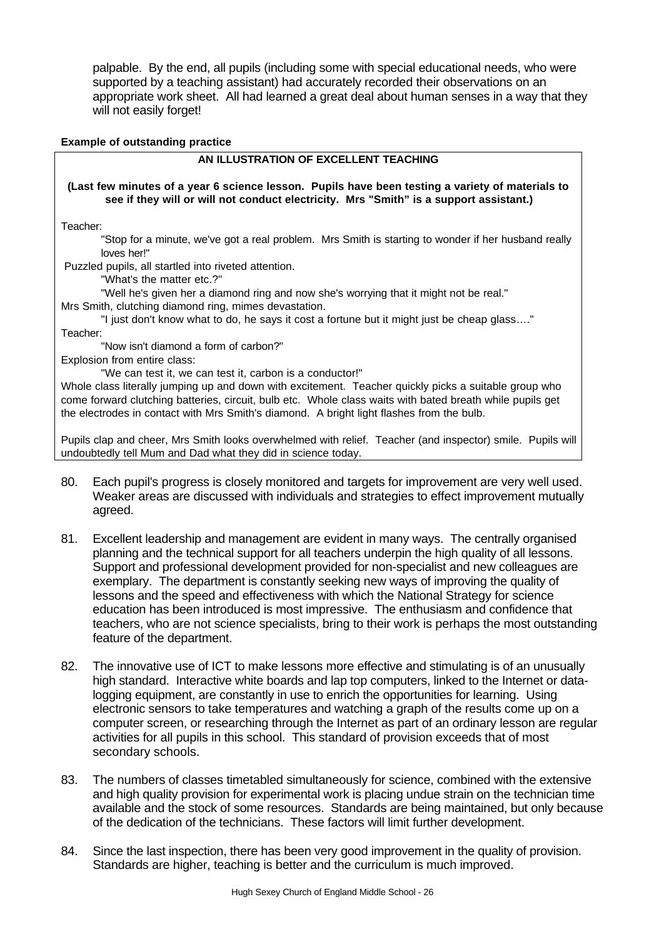palpable. By the end, all pupils (including some with special educational needs, who were supported by a teaching assistant) had accurately recorded their observations on an appropriate work sheet. All had learned a great deal about human senses in a way that they will not easily forget!

#### **Example of outstanding practice**

#### **AN ILLUSTRATION OF EXCELLENT TEACHING**

#### **(Last few minutes of a year 6 science lesson. Pupils have been testing a variety of materials to see if they will or will not conduct electricity. Mrs "Smith" is a support assistant.)**

Teacher:

"Stop for a minute, we've got a real problem. Mrs Smith is starting to wonder if her husband really loves her!"

Puzzled pupils, all startled into riveted attention.

"What's the matter etc.?"

"Well he's given her a diamond ring and now she's worrying that it might not be real."

Mrs Smith, clutching diamond ring, mimes devastation.

"I just don't know what to do, he says it cost a fortune but it might just be cheap glass…." Teacher:

"Now isn't diamond a form of carbon?"

Explosion from entire class:

"We can test it, we can test it, carbon is a conductor!"

Whole class literally jumping up and down with excitement. Teacher quickly picks a suitable group who come forward clutching batteries, circuit, bulb etc. Whole class waits with bated breath while pupils get the electrodes in contact with Mrs Smith's diamond. A bright light flashes from the bulb.

Pupils clap and cheer, Mrs Smith looks overwhelmed with relief. Teacher (and inspector) smile. Pupils will undoubtedly tell Mum and Dad what they did in science today.

- 80. Each pupil's progress is closely monitored and targets for improvement are very well used. Weaker areas are discussed with individuals and strategies to effect improvement mutually agreed.
- 81. Excellent leadership and management are evident in many ways. The centrally organised planning and the technical support for all teachers underpin the high quality of all lessons. Support and professional development provided for non-specialist and new colleagues are exemplary. The department is constantly seeking new ways of improving the quality of lessons and the speed and effectiveness with which the National Strategy for science education has been introduced is most impressive. The enthusiasm and confidence that teachers, who are not science specialists, bring to their work is perhaps the most outstanding feature of the department.
- 82. The innovative use of ICT to make lessons more effective and stimulating is of an unusually high standard. Interactive white boards and lap top computers, linked to the Internet or datalogging equipment, are constantly in use to enrich the opportunities for learning. Using electronic sensors to take temperatures and watching a graph of the results come up on a computer screen, or researching through the Internet as part of an ordinary lesson are regular activities for all pupils in this school. This standard of provision exceeds that of most secondary schools.
- 83. The numbers of classes timetabled simultaneously for science, combined with the extensive and high quality provision for experimental work is placing undue strain on the technician time available and the stock of some resources. Standards are being maintained, but only because of the dedication of the technicians. These factors will limit further development.
- 84. Since the last inspection, there has been very good improvement in the quality of provision. Standards are higher, teaching is better and the curriculum is much improved.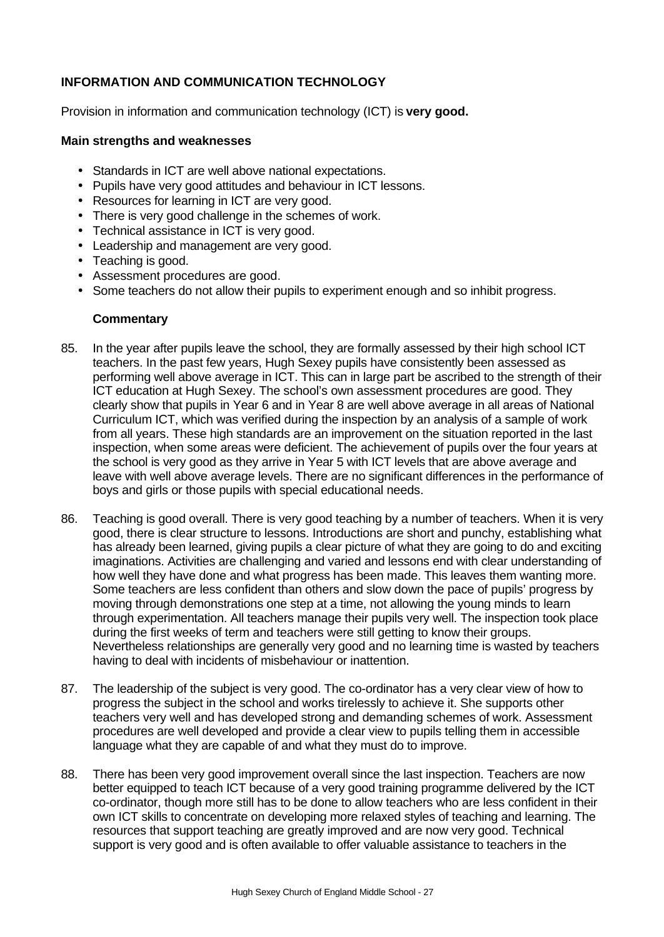# **INFORMATION AND COMMUNICATION TECHNOLOGY**

Provision in information and communication technology (ICT) is **very good.**

#### **Main strengths and weaknesses**

- Standards in ICT are well above national expectations.
- Pupils have very good attitudes and behaviour in ICT lessons.
- Resources for learning in ICT are very good.
- There is very good challenge in the schemes of work.
- Technical assistance in ICT is very good.
- Leadership and management are very good.
- Teaching is good.
- Assessment procedures are good.
- Some teachers do not allow their pupils to experiment enough and so inhibit progress.

#### **Commentary**

- 85. In the year after pupils leave the school, they are formally assessed by their high school ICT teachers. In the past few years, Hugh Sexey pupils have consistently been assessed as performing well above average in ICT. This can in large part be ascribed to the strength of their ICT education at Hugh Sexey. The school's own assessment procedures are good. They clearly show that pupils in Year 6 and in Year 8 are well above average in all areas of National Curriculum ICT, which was verified during the inspection by an analysis of a sample of work from all years. These high standards are an improvement on the situation reported in the last inspection, when some areas were deficient. The achievement of pupils over the four years at the school is very good as they arrive in Year 5 with ICT levels that are above average and leave with well above average levels. There are no significant differences in the performance of boys and girls or those pupils with special educational needs.
- 86. Teaching is good overall. There is very good teaching by a number of teachers. When it is very good, there is clear structure to lessons. Introductions are short and punchy, establishing what has already been learned, giving pupils a clear picture of what they are going to do and exciting imaginations. Activities are challenging and varied and lessons end with clear understanding of how well they have done and what progress has been made. This leaves them wanting more. Some teachers are less confident than others and slow down the pace of pupils' progress by moving through demonstrations one step at a time, not allowing the young minds to learn through experimentation. All teachers manage their pupils very well. The inspection took place during the first weeks of term and teachers were still getting to know their groups. Nevertheless relationships are generally very good and no learning time is wasted by teachers having to deal with incidents of misbehaviour or inattention.
- 87. The leadership of the subject is very good. The co-ordinator has a very clear view of how to progress the subject in the school and works tirelessly to achieve it. She supports other teachers very well and has developed strong and demanding schemes of work. Assessment procedures are well developed and provide a clear view to pupils telling them in accessible language what they are capable of and what they must do to improve.
- 88. There has been very good improvement overall since the last inspection. Teachers are now better equipped to teach ICT because of a very good training programme delivered by the ICT co-ordinator, though more still has to be done to allow teachers who are less confident in their own ICT skills to concentrate on developing more relaxed styles of teaching and learning. The resources that support teaching are greatly improved and are now very good. Technical support is very good and is often available to offer valuable assistance to teachers in the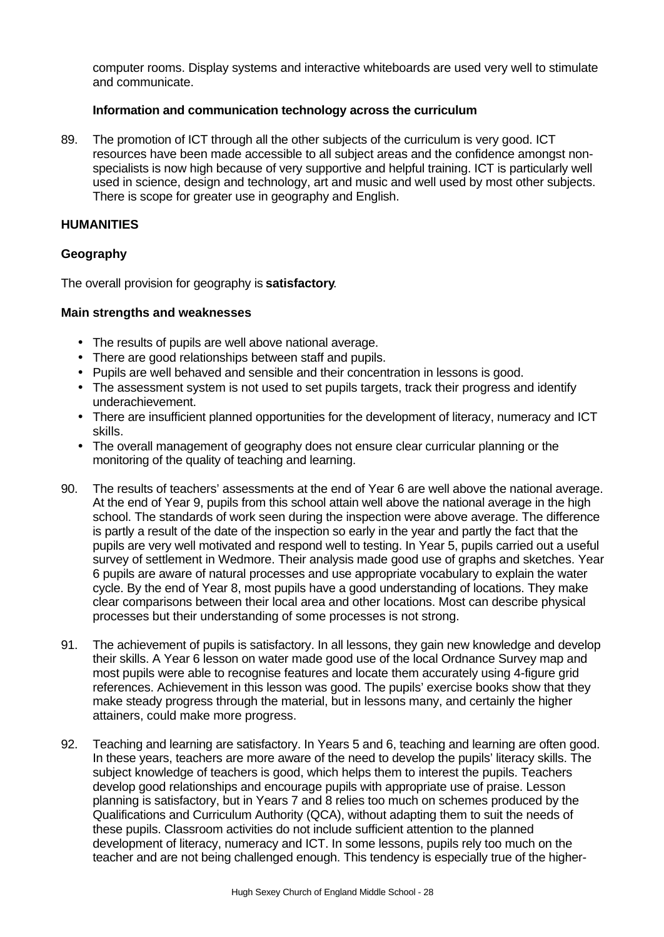computer rooms. Display systems and interactive whiteboards are used very well to stimulate and communicate.

#### **Information and communication technology across the curriculum**

89. The promotion of ICT through all the other subjects of the curriculum is very good. ICT resources have been made accessible to all subject areas and the confidence amongst nonspecialists is now high because of very supportive and helpful training. ICT is particularly well used in science, design and technology, art and music and well used by most other subjects. There is scope for greater use in geography and English.

#### **HUMANITIES**

#### **Geography**

The overall provision for geography is **satisfactory**.

- The results of pupils are well above national average.
- There are good relationships between staff and pupils.
- Pupils are well behaved and sensible and their concentration in lessons is good.
- The assessment system is not used to set pupils targets, track their progress and identify underachievement.
- There are insufficient planned opportunities for the development of literacy, numeracy and ICT skills.
- The overall management of geography does not ensure clear curricular planning or the monitoring of the quality of teaching and learning.
- 90. The results of teachers' assessments at the end of Year 6 are well above the national average. At the end of Year 9, pupils from this school attain well above the national average in the high school. The standards of work seen during the inspection were above average. The difference is partly a result of the date of the inspection so early in the year and partly the fact that the pupils are very well motivated and respond well to testing. In Year 5, pupils carried out a useful survey of settlement in Wedmore. Their analysis made good use of graphs and sketches. Year 6 pupils are aware of natural processes and use appropriate vocabulary to explain the water cycle. By the end of Year 8, most pupils have a good understanding of locations. They make clear comparisons between their local area and other locations. Most can describe physical processes but their understanding of some processes is not strong.
- 91. The achievement of pupils is satisfactory. In all lessons, they gain new knowledge and develop their skills. A Year 6 lesson on water made good use of the local Ordnance Survey map and most pupils were able to recognise features and locate them accurately using 4-figure grid references. Achievement in this lesson was good. The pupils' exercise books show that they make steady progress through the material, but in lessons many, and certainly the higher attainers, could make more progress.
- 92. Teaching and learning are satisfactory. In Years 5 and 6, teaching and learning are often good. In these years, teachers are more aware of the need to develop the pupils' literacy skills. The subject knowledge of teachers is good, which helps them to interest the pupils. Teachers develop good relationships and encourage pupils with appropriate use of praise. Lesson planning is satisfactory, but in Years 7 and 8 relies too much on schemes produced by the Qualifications and Curriculum Authority (QCA), without adapting them to suit the needs of these pupils. Classroom activities do not include sufficient attention to the planned development of literacy, numeracy and ICT. In some lessons, pupils rely too much on the teacher and are not being challenged enough. This tendency is especially true of the higher-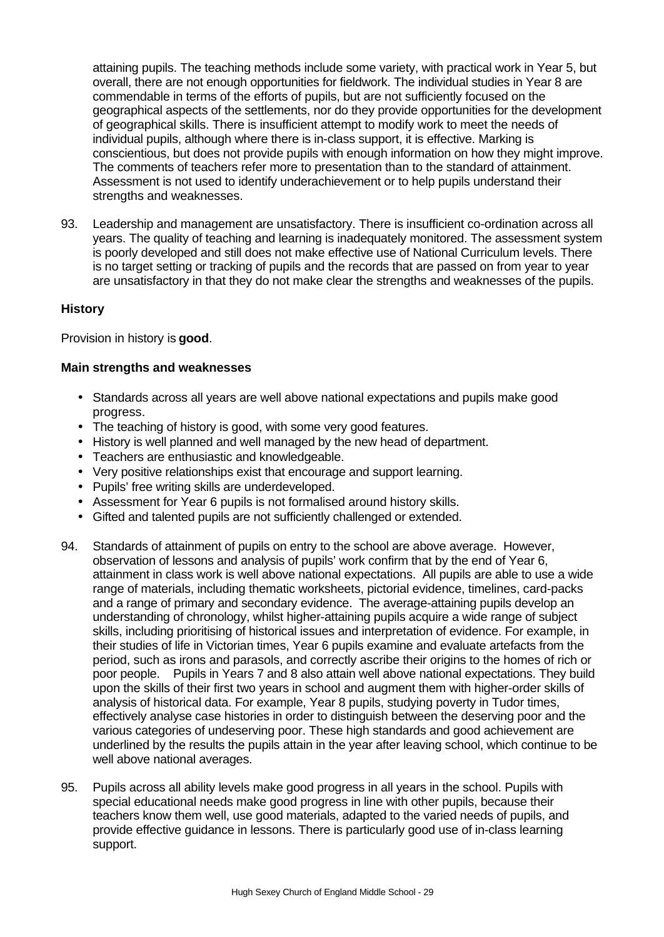attaining pupils. The teaching methods include some variety, with practical work in Year 5, but overall, there are not enough opportunities for fieldwork. The individual studies in Year 8 are commendable in terms of the efforts of pupils, but are not sufficiently focused on the geographical aspects of the settlements, nor do they provide opportunities for the development of geographical skills. There is insufficient attempt to modify work to meet the needs of individual pupils, although where there is in-class support, it is effective. Marking is conscientious, but does not provide pupils with enough information on how they might improve. The comments of teachers refer more to presentation than to the standard of attainment. Assessment is not used to identify underachievement or to help pupils understand their strengths and weaknesses.

93. Leadership and management are unsatisfactory. There is insufficient co-ordination across all years. The quality of teaching and learning is inadequately monitored. The assessment system is poorly developed and still does not make effective use of National Curriculum levels. There is no target setting or tracking of pupils and the records that are passed on from year to year are unsatisfactory in that they do not make clear the strengths and weaknesses of the pupils.

# **History**

Provision in history is **good**.

- Standards across all years are well above national expectations and pupils make good progress.
- The teaching of history is good, with some very good features.
- History is well planned and well managed by the new head of department.
- Teachers are enthusiastic and knowledgeable.
- Very positive relationships exist that encourage and support learning.
- Pupils' free writing skills are underdeveloped.
- Assessment for Year 6 pupils is not formalised around history skills.
- Gifted and talented pupils are not sufficiently challenged or extended.
- 94. Standards of attainment of pupils on entry to the school are above average. However, observation of lessons and analysis of pupils' work confirm that by the end of Year 6, attainment in class work is well above national expectations. All pupils are able to use a wide range of materials, including thematic worksheets, pictorial evidence, timelines, card-packs and a range of primary and secondary evidence. The average-attaining pupils develop an understanding of chronology, whilst higher-attaining pupils acquire a wide range of subject skills, including prioritising of historical issues and interpretation of evidence. For example, in their studies of life in Victorian times, Year 6 pupils examine and evaluate artefacts from the period, such as irons and parasols, and correctly ascribe their origins to the homes of rich or poor people. Pupils in Years 7 and 8 also attain well above national expectations. They build upon the skills of their first two years in school and augment them with higher-order skills of analysis of historical data. For example, Year 8 pupils, studying poverty in Tudor times, effectively analyse case histories in order to distinguish between the deserving poor and the various categories of undeserving poor. These high standards and good achievement are underlined by the results the pupils attain in the year after leaving school, which continue to be well above national averages.
- 95. Pupils across all ability levels make good progress in all years in the school. Pupils with special educational needs make good progress in line with other pupils, because their teachers know them well, use good materials, adapted to the varied needs of pupils, and provide effective guidance in lessons. There is particularly good use of in-class learning support.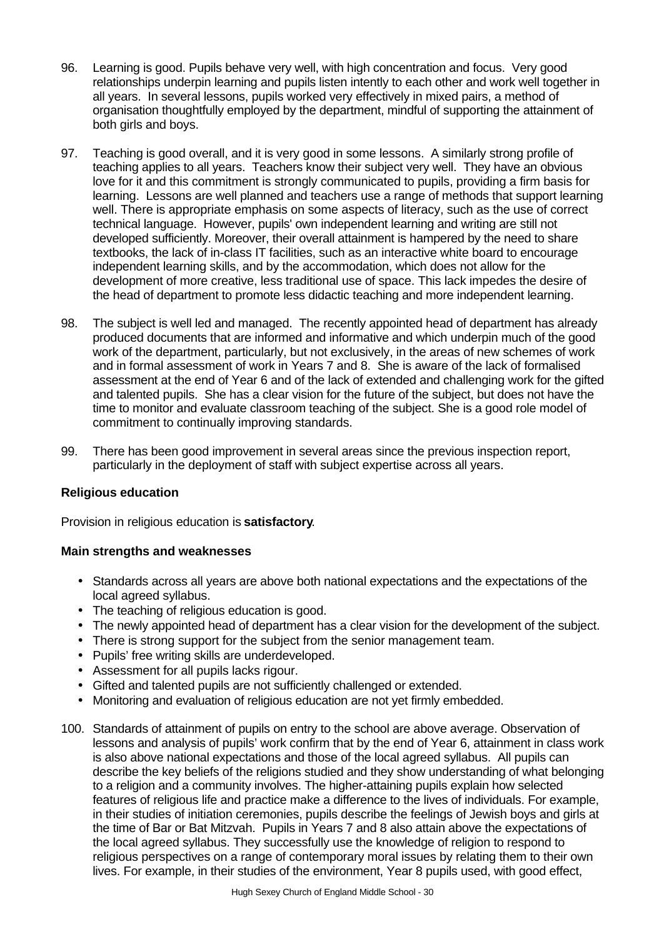- 96. Learning is good. Pupils behave very well, with high concentration and focus. Very good relationships underpin learning and pupils listen intently to each other and work well together in all years. In several lessons, pupils worked very effectively in mixed pairs, a method of organisation thoughtfully employed by the department, mindful of supporting the attainment of both girls and boys.
- 97. Teaching is good overall, and it is very good in some lessons. A similarly strong profile of teaching applies to all years. Teachers know their subject very well. They have an obvious love for it and this commitment is strongly communicated to pupils, providing a firm basis for learning. Lessons are well planned and teachers use a range of methods that support learning well. There is appropriate emphasis on some aspects of literacy, such as the use of correct technical language. However, pupils' own independent learning and writing are still not developed sufficiently. Moreover, their overall attainment is hampered by the need to share textbooks, the lack of in-class IT facilities, such as an interactive white board to encourage independent learning skills, and by the accommodation, which does not allow for the development of more creative, less traditional use of space. This lack impedes the desire of the head of department to promote less didactic teaching and more independent learning.
- 98. The subject is well led and managed. The recently appointed head of department has already produced documents that are informed and informative and which underpin much of the good work of the department, particularly, but not exclusively, in the areas of new schemes of work and in formal assessment of work in Years 7 and 8. She is aware of the lack of formalised assessment at the end of Year 6 and of the lack of extended and challenging work for the gifted and talented pupils. She has a clear vision for the future of the subject, but does not have the time to monitor and evaluate classroom teaching of the subject. She is a good role model of commitment to continually improving standards.
- 99. There has been good improvement in several areas since the previous inspection report, particularly in the deployment of staff with subject expertise across all years.

# **Religious education**

Provision in religious education is **satisfactory**.

- Standards across all years are above both national expectations and the expectations of the local agreed syllabus.
- The teaching of religious education is good.
- The newly appointed head of department has a clear vision for the development of the subject.
- There is strong support for the subject from the senior management team.
- Pupils' free writing skills are underdeveloped.
- Assessment for all pupils lacks rigour.
- Gifted and talented pupils are not sufficiently challenged or extended.
- Monitoring and evaluation of religious education are not yet firmly embedded.
- 100. Standards of attainment of pupils on entry to the school are above average. Observation of lessons and analysis of pupils' work confirm that by the end of Year 6, attainment in class work is also above national expectations and those of the local agreed syllabus. All pupils can describe the key beliefs of the religions studied and they show understanding of what belonging to a religion and a community involves. The higher-attaining pupils explain how selected features of religious life and practice make a difference to the lives of individuals. For example, in their studies of initiation ceremonies, pupils describe the feelings of Jewish boys and girls at the time of Bar or Bat Mitzvah. Pupils in Years 7 and 8 also attain above the expectations of the local agreed syllabus. They successfully use the knowledge of religion to respond to religious perspectives on a range of contemporary moral issues by relating them to their own lives. For example, in their studies of the environment, Year 8 pupils used, with good effect,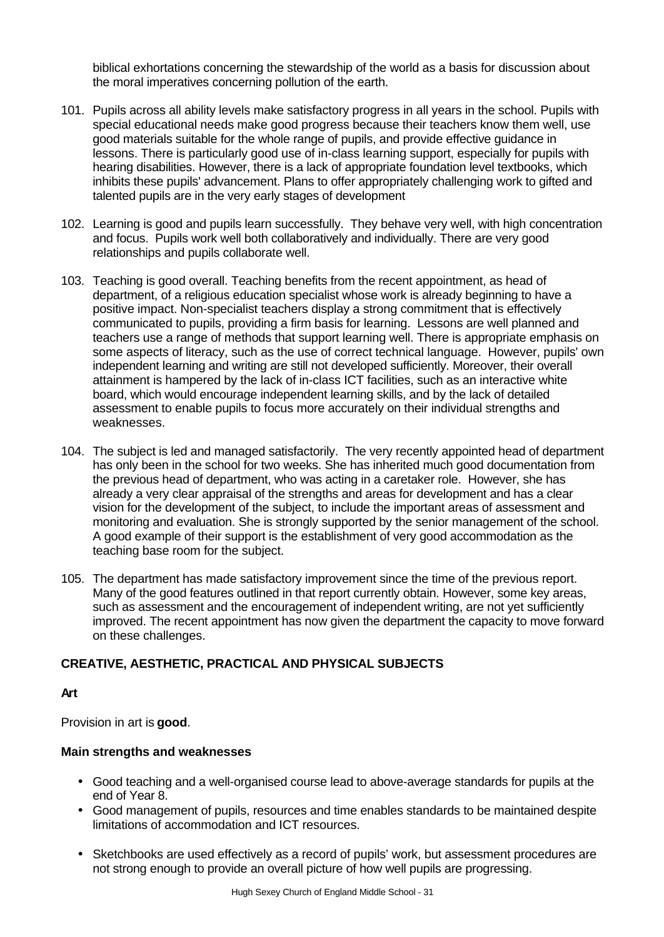biblical exhortations concerning the stewardship of the world as a basis for discussion about the moral imperatives concerning pollution of the earth.

- 101. Pupils across all ability levels make satisfactory progress in all years in the school. Pupils with special educational needs make good progress because their teachers know them well, use good materials suitable for the whole range of pupils, and provide effective guidance in lessons. There is particularly good use of in-class learning support, especially for pupils with hearing disabilities. However, there is a lack of appropriate foundation level textbooks, which inhibits these pupils' advancement. Plans to offer appropriately challenging work to gifted and talented pupils are in the very early stages of development
- 102. Learning is good and pupils learn successfully. They behave very well, with high concentration and focus. Pupils work well both collaboratively and individually. There are very good relationships and pupils collaborate well.
- 103. Teaching is good overall. Teaching benefits from the recent appointment, as head of department, of a religious education specialist whose work is already beginning to have a positive impact. Non-specialist teachers display a strong commitment that is effectively communicated to pupils, providing a firm basis for learning. Lessons are well planned and teachers use a range of methods that support learning well. There is appropriate emphasis on some aspects of literacy, such as the use of correct technical language. However, pupils' own independent learning and writing are still not developed sufficiently. Moreover, their overall attainment is hampered by the lack of in-class ICT facilities, such as an interactive white board, which would encourage independent learning skills, and by the lack of detailed assessment to enable pupils to focus more accurately on their individual strengths and weaknesses.
- 104. The subject is led and managed satisfactorily. The very recently appointed head of department has only been in the school for two weeks. She has inherited much good documentation from the previous head of department, who was acting in a caretaker role. However, she has already a very clear appraisal of the strengths and areas for development and has a clear vision for the development of the subject, to include the important areas of assessment and monitoring and evaluation. She is strongly supported by the senior management of the school. A good example of their support is the establishment of very good accommodation as the teaching base room for the subject.
- 105. The department has made satisfactory improvement since the time of the previous report. Many of the good features outlined in that report currently obtain. However, some key areas, such as assessment and the encouragement of independent writing, are not yet sufficiently improved. The recent appointment has now given the department the capacity to move forward on these challenges.

# **CREATIVE, AESTHETIC, PRACTICAL AND PHYSICAL SUBJECTS**

# **Art**

Provision in art is **good**.

- Good teaching and a well-organised course lead to above-average standards for pupils at the end of Year 8.
- Good management of pupils, resources and time enables standards to be maintained despite limitations of accommodation and ICT resources.
- Sketchbooks are used effectively as a record of pupils' work, but assessment procedures are not strong enough to provide an overall picture of how well pupils are progressing.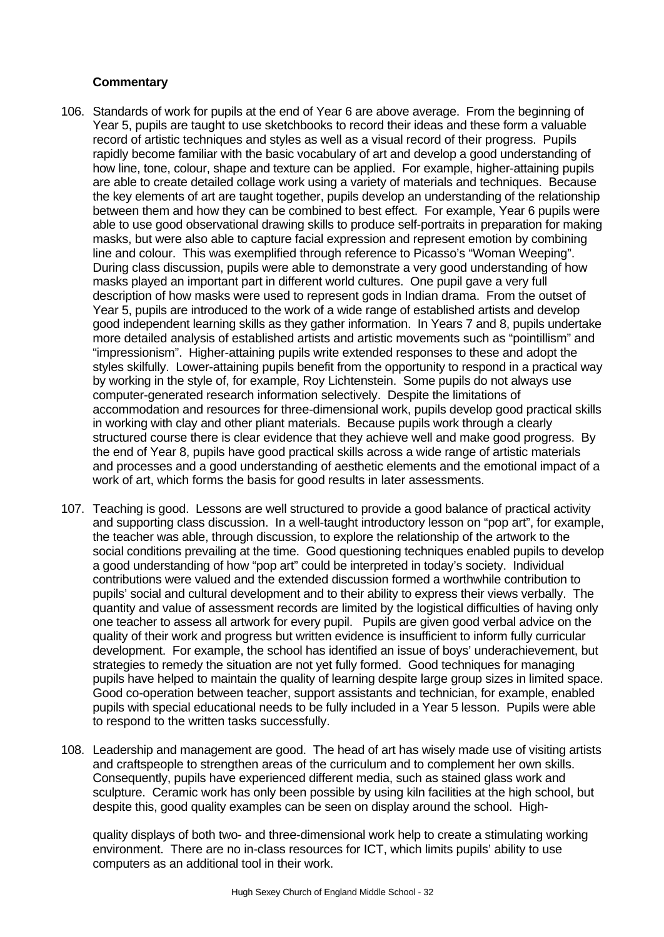#### **Commentary**

- 106. Standards of work for pupils at the end of Year 6 are above average. From the beginning of Year 5, pupils are taught to use sketchbooks to record their ideas and these form a valuable record of artistic techniques and styles as well as a visual record of their progress. Pupils rapidly become familiar with the basic vocabulary of art and develop a good understanding of how line, tone, colour, shape and texture can be applied. For example, higher-attaining pupils are able to create detailed collage work using a variety of materials and techniques. Because the key elements of art are taught together, pupils develop an understanding of the relationship between them and how they can be combined to best effect. For example, Year 6 pupils were able to use good observational drawing skills to produce self-portraits in preparation for making masks, but were also able to capture facial expression and represent emotion by combining line and colour. This was exemplified through reference to Picasso's "Woman Weeping". During class discussion, pupils were able to demonstrate a very good understanding of how masks played an important part in different world cultures. One pupil gave a very full description of how masks were used to represent gods in Indian drama. From the outset of Year 5, pupils are introduced to the work of a wide range of established artists and develop good independent learning skills as they gather information. In Years 7 and 8, pupils undertake more detailed analysis of established artists and artistic movements such as "pointillism" and "impressionism". Higher-attaining pupils write extended responses to these and adopt the styles skilfully. Lower-attaining pupils benefit from the opportunity to respond in a practical way by working in the style of, for example, Roy Lichtenstein. Some pupils do not always use computer-generated research information selectively. Despite the limitations of accommodation and resources for three-dimensional work, pupils develop good practical skills in working with clay and other pliant materials. Because pupils work through a clearly structured course there is clear evidence that they achieve well and make good progress. By the end of Year 8, pupils have good practical skills across a wide range of artistic materials and processes and a good understanding of aesthetic elements and the emotional impact of a work of art, which forms the basis for good results in later assessments.
- 107. Teaching is good. Lessons are well structured to provide a good balance of practical activity and supporting class discussion. In a well-taught introductory lesson on "pop art", for example, the teacher was able, through discussion, to explore the relationship of the artwork to the social conditions prevailing at the time. Good questioning techniques enabled pupils to develop a good understanding of how "pop art" could be interpreted in today's society. Individual contributions were valued and the extended discussion formed a worthwhile contribution to pupils' social and cultural development and to their ability to express their views verbally. The quantity and value of assessment records are limited by the logistical difficulties of having only one teacher to assess all artwork for every pupil. Pupils are given good verbal advice on the quality of their work and progress but written evidence is insufficient to inform fully curricular development. For example, the school has identified an issue of boys' underachievement, but strategies to remedy the situation are not yet fully formed. Good techniques for managing pupils have helped to maintain the quality of learning despite large group sizes in limited space. Good co-operation between teacher, support assistants and technician, for example, enabled pupils with special educational needs to be fully included in a Year 5 lesson. Pupils were able to respond to the written tasks successfully.
- 108. Leadership and management are good. The head of art has wisely made use of visiting artists and craftspeople to strengthen areas of the curriculum and to complement her own skills. Consequently, pupils have experienced different media, such as stained glass work and sculpture. Ceramic work has only been possible by using kiln facilities at the high school, but despite this, good quality examples can be seen on display around the school. High-

quality displays of both two- and three-dimensional work help to create a stimulating working environment. There are no in-class resources for ICT, which limits pupils' ability to use computers as an additional tool in their work.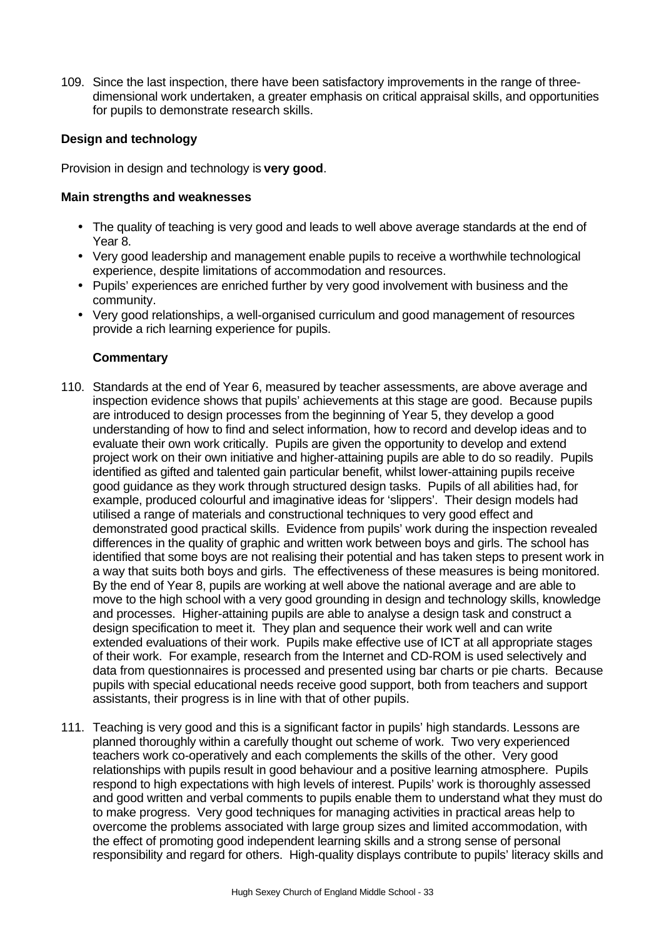109. Since the last inspection, there have been satisfactory improvements in the range of threedimensional work undertaken, a greater emphasis on critical appraisal skills, and opportunities for pupils to demonstrate research skills.

# **Design and technology**

Provision in design and technology is **very good**.

#### **Main strengths and weaknesses**

- The quality of teaching is very good and leads to well above average standards at the end of Year 8.
- Very good leadership and management enable pupils to receive a worthwhile technological experience, despite limitations of accommodation and resources.
- Pupils' experiences are enriched further by very good involvement with business and the community.
- Very good relationships, a well-organised curriculum and good management of resources provide a rich learning experience for pupils.

# **Commentary**

- 110. Standards at the end of Year 6, measured by teacher assessments, are above average and inspection evidence shows that pupils' achievements at this stage are good. Because pupils are introduced to design processes from the beginning of Year 5, they develop a good understanding of how to find and select information, how to record and develop ideas and to evaluate their own work critically. Pupils are given the opportunity to develop and extend project work on their own initiative and higher-attaining pupils are able to do so readily. Pupils identified as gifted and talented gain particular benefit, whilst lower-attaining pupils receive good guidance as they work through structured design tasks. Pupils of all abilities had, for example, produced colourful and imaginative ideas for 'slippers'. Their design models had utilised a range of materials and constructional techniques to very good effect and demonstrated good practical skills. Evidence from pupils' work during the inspection revealed differences in the quality of graphic and written work between boys and girls. The school has identified that some boys are not realising their potential and has taken steps to present work in a way that suits both boys and girls. The effectiveness of these measures is being monitored. By the end of Year 8, pupils are working at well above the national average and are able to move to the high school with a very good grounding in design and technology skills, knowledge and processes. Higher-attaining pupils are able to analyse a design task and construct a design specification to meet it. They plan and sequence their work well and can write extended evaluations of their work. Pupils make effective use of ICT at all appropriate stages of their work. For example, research from the Internet and CD-ROM is used selectively and data from questionnaires is processed and presented using bar charts or pie charts. Because pupils with special educational needs receive good support, both from teachers and support assistants, their progress is in line with that of other pupils.
- 111. Teaching is very good and this is a significant factor in pupils' high standards. Lessons are planned thoroughly within a carefully thought out scheme of work. Two very experienced teachers work co-operatively and each complements the skills of the other. Very good relationships with pupils result in good behaviour and a positive learning atmosphere. Pupils respond to high expectations with high levels of interest. Pupils' work is thoroughly assessed and good written and verbal comments to pupils enable them to understand what they must do to make progress. Very good techniques for managing activities in practical areas help to overcome the problems associated with large group sizes and limited accommodation, with the effect of promoting good independent learning skills and a strong sense of personal responsibility and regard for others. High-quality displays contribute to pupils' literacy skills and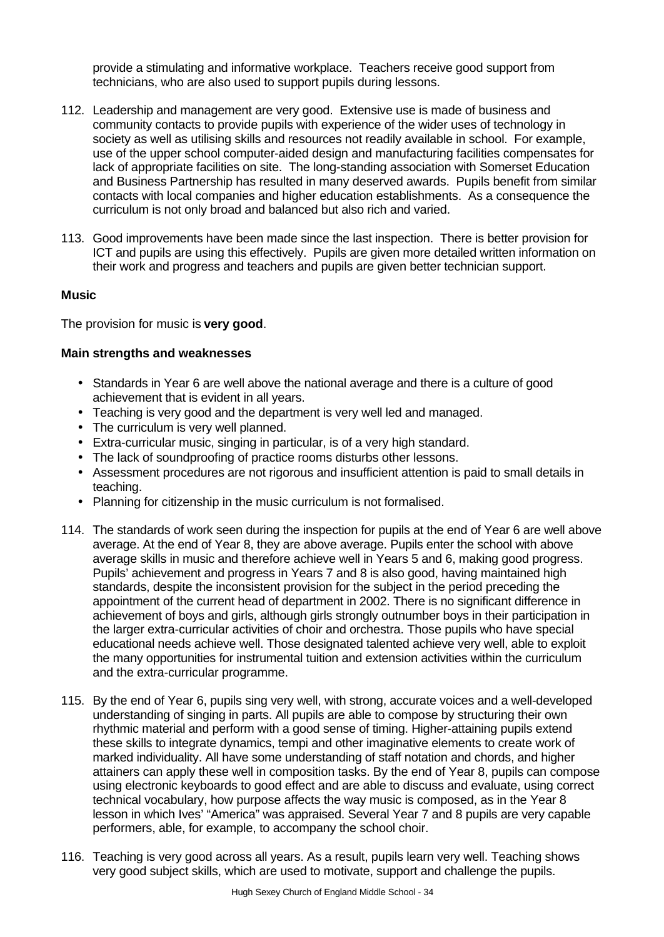provide a stimulating and informative workplace. Teachers receive good support from technicians, who are also used to support pupils during lessons.

- 112. Leadership and management are very good. Extensive use is made of business and community contacts to provide pupils with experience of the wider uses of technology in society as well as utilising skills and resources not readily available in school. For example, use of the upper school computer-aided design and manufacturing facilities compensates for lack of appropriate facilities on site. The long-standing association with Somerset Education and Business Partnership has resulted in many deserved awards. Pupils benefit from similar contacts with local companies and higher education establishments. As a consequence the curriculum is not only broad and balanced but also rich and varied.
- 113. Good improvements have been made since the last inspection. There is better provision for ICT and pupils are using this effectively. Pupils are given more detailed written information on their work and progress and teachers and pupils are given better technician support.

#### **Music**

The provision for music is **very good**.

- Standards in Year 6 are well above the national average and there is a culture of good achievement that is evident in all years.
- Teaching is very good and the department is very well led and managed.
- The curriculum is very well planned.
- Extra-curricular music, singing in particular, is of a very high standard.
- The lack of soundproofing of practice rooms disturbs other lessons.
- Assessment procedures are not rigorous and insufficient attention is paid to small details in teaching.
- Planning for citizenship in the music curriculum is not formalised.
- 114. The standards of work seen during the inspection for pupils at the end of Year 6 are well above average. At the end of Year 8, they are above average. Pupils enter the school with above average skills in music and therefore achieve well in Years 5 and 6, making good progress. Pupils' achievement and progress in Years 7 and 8 is also good, having maintained high standards, despite the inconsistent provision for the subject in the period preceding the appointment of the current head of department in 2002. There is no significant difference in achievement of boys and girls, although girls strongly outnumber boys in their participation in the larger extra-curricular activities of choir and orchestra. Those pupils who have special educational needs achieve well. Those designated talented achieve very well, able to exploit the many opportunities for instrumental tuition and extension activities within the curriculum and the extra-curricular programme.
- 115. By the end of Year 6, pupils sing very well, with strong, accurate voices and a well-developed understanding of singing in parts. All pupils are able to compose by structuring their own rhythmic material and perform with a good sense of timing. Higher-attaining pupils extend these skills to integrate dynamics, tempi and other imaginative elements to create work of marked individuality. All have some understanding of staff notation and chords, and higher attainers can apply these well in composition tasks. By the end of Year 8, pupils can compose using electronic keyboards to good effect and are able to discuss and evaluate, using correct technical vocabulary, how purpose affects the way music is composed, as in the Year 8 lesson in which Ives' "America" was appraised. Several Year 7 and 8 pupils are very capable performers, able, for example, to accompany the school choir.
- 116. Teaching is very good across all years. As a result, pupils learn very well. Teaching shows very good subject skills, which are used to motivate, support and challenge the pupils.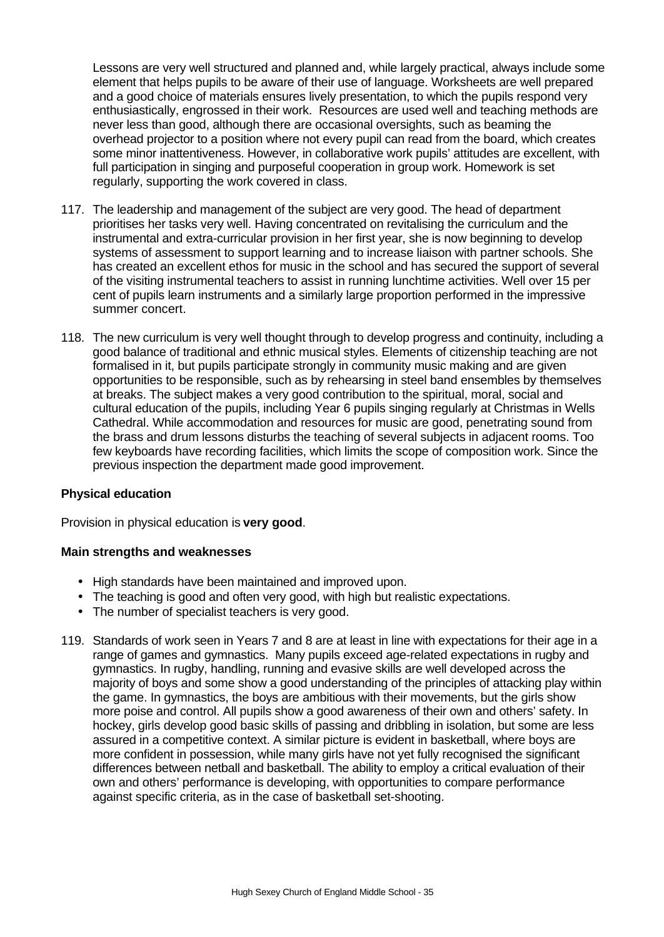Lessons are very well structured and planned and, while largely practical, always include some element that helps pupils to be aware of their use of language. Worksheets are well prepared and a good choice of materials ensures lively presentation, to which the pupils respond very enthusiastically, engrossed in their work. Resources are used well and teaching methods are never less than good, although there are occasional oversights, such as beaming the overhead projector to a position where not every pupil can read from the board, which creates some minor inattentiveness. However, in collaborative work pupils' attitudes are excellent, with full participation in singing and purposeful cooperation in group work. Homework is set regularly, supporting the work covered in class.

- 117. The leadership and management of the subject are very good. The head of department prioritises her tasks very well. Having concentrated on revitalising the curriculum and the instrumental and extra-curricular provision in her first year, she is now beginning to develop systems of assessment to support learning and to increase liaison with partner schools. She has created an excellent ethos for music in the school and has secured the support of several of the visiting instrumental teachers to assist in running lunchtime activities. Well over 15 per cent of pupils learn instruments and a similarly large proportion performed in the impressive summer concert.
- 118. The new curriculum is very well thought through to develop progress and continuity, including a good balance of traditional and ethnic musical styles. Elements of citizenship teaching are not formalised in it, but pupils participate strongly in community music making and are given opportunities to be responsible, such as by rehearsing in steel band ensembles by themselves at breaks. The subject makes a very good contribution to the spiritual, moral, social and cultural education of the pupils, including Year 6 pupils singing regularly at Christmas in Wells Cathedral. While accommodation and resources for music are good, penetrating sound from the brass and drum lessons disturbs the teaching of several subjects in adjacent rooms. Too few keyboards have recording facilities, which limits the scope of composition work. Since the previous inspection the department made good improvement.

#### **Physical education**

Provision in physical education is **very good**.

- High standards have been maintained and improved upon.
- The teaching is good and often very good, with high but realistic expectations.
- The number of specialist teachers is very good.
- 119. Standards of work seen in Years 7 and 8 are at least in line with expectations for their age in a range of games and gymnastics. Many pupils exceed age-related expectations in rugby and gymnastics. In rugby, handling, running and evasive skills are well developed across the majority of boys and some show a good understanding of the principles of attacking play within the game. In gymnastics, the boys are ambitious with their movements, but the girls show more poise and control. All pupils show a good awareness of their own and others' safety. In hockey, girls develop good basic skills of passing and dribbling in isolation, but some are less assured in a competitive context. A similar picture is evident in basketball, where boys are more confident in possession, while many girls have not yet fully recognised the significant differences between netball and basketball. The ability to employ a critical evaluation of their own and others' performance is developing, with opportunities to compare performance against specific criteria, as in the case of basketball set-shooting.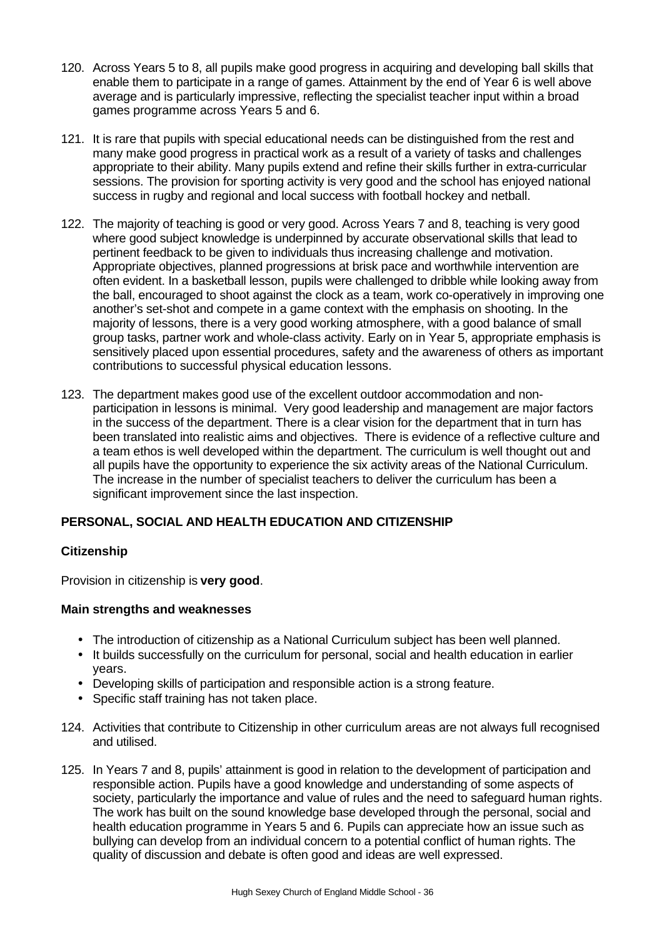- 120. Across Years 5 to 8, all pupils make good progress in acquiring and developing ball skills that enable them to participate in a range of games. Attainment by the end of Year 6 is well above average and is particularly impressive, reflecting the specialist teacher input within a broad games programme across Years 5 and 6.
- 121. It is rare that pupils with special educational needs can be distinguished from the rest and many make good progress in practical work as a result of a variety of tasks and challenges appropriate to their ability. Many pupils extend and refine their skills further in extra-curricular sessions. The provision for sporting activity is very good and the school has enjoyed national success in rugby and regional and local success with football hockey and netball.
- 122. The majority of teaching is good or very good. Across Years 7 and 8, teaching is very good where good subject knowledge is underpinned by accurate observational skills that lead to pertinent feedback to be given to individuals thus increasing challenge and motivation. Appropriate objectives, planned progressions at brisk pace and worthwhile intervention are often evident. In a basketball lesson, pupils were challenged to dribble while looking away from the ball, encouraged to shoot against the clock as a team, work co-operatively in improving one another's set-shot and compete in a game context with the emphasis on shooting. In the majority of lessons, there is a very good working atmosphere, with a good balance of small group tasks, partner work and whole-class activity. Early on in Year 5, appropriate emphasis is sensitively placed upon essential procedures, safety and the awareness of others as important contributions to successful physical education lessons.
- 123. The department makes good use of the excellent outdoor accommodation and nonparticipation in lessons is minimal. Very good leadership and management are major factors in the success of the department. There is a clear vision for the department that in turn has been translated into realistic aims and objectives. There is evidence of a reflective culture and a team ethos is well developed within the department. The curriculum is well thought out and all pupils have the opportunity to experience the six activity areas of the National Curriculum. The increase in the number of specialist teachers to deliver the curriculum has been a significant improvement since the last inspection.

# **PERSONAL, SOCIAL AND HEALTH EDUCATION AND CITIZENSHIP**

# **Citizenship**

Provision in citizenship is **very good**.

- The introduction of citizenship as a National Curriculum subject has been well planned.
- It builds successfully on the curriculum for personal, social and health education in earlier years.
- Developing skills of participation and responsible action is a strong feature.
- Specific staff training has not taken place.
- 124. Activities that contribute to Citizenship in other curriculum areas are not always full recognised and utilised.
- 125. In Years 7 and 8, pupils' attainment is good in relation to the development of participation and responsible action. Pupils have a good knowledge and understanding of some aspects of society, particularly the importance and value of rules and the need to safeguard human rights. The work has built on the sound knowledge base developed through the personal, social and health education programme in Years 5 and 6. Pupils can appreciate how an issue such as bullying can develop from an individual concern to a potential conflict of human rights. The quality of discussion and debate is often good and ideas are well expressed.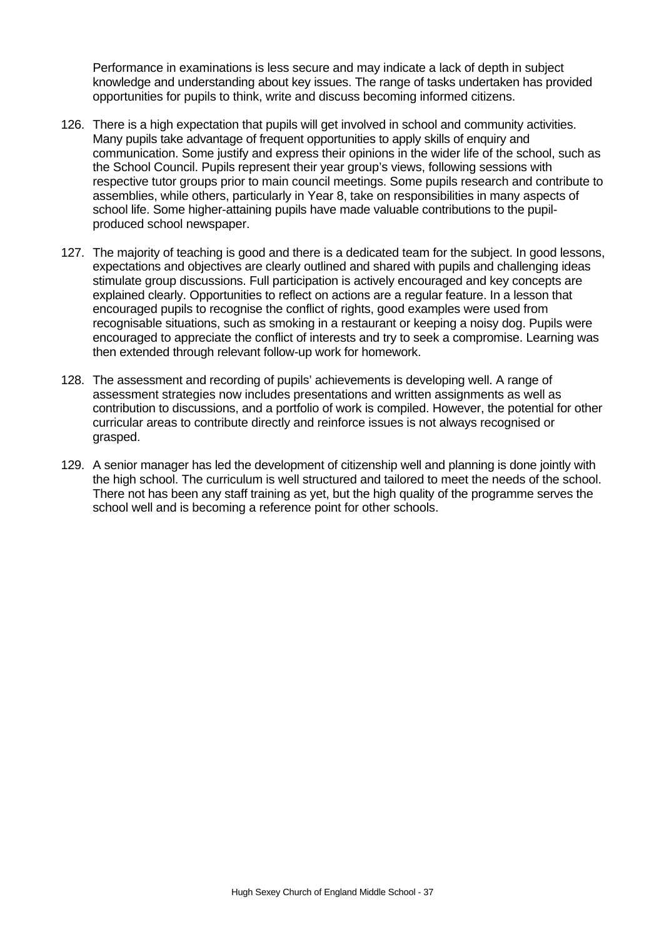Performance in examinations is less secure and may indicate a lack of depth in subject knowledge and understanding about key issues. The range of tasks undertaken has provided opportunities for pupils to think, write and discuss becoming informed citizens.

- 126. There is a high expectation that pupils will get involved in school and community activities. Many pupils take advantage of frequent opportunities to apply skills of enquiry and communication. Some justify and express their opinions in the wider life of the school, such as the School Council. Pupils represent their year group's views, following sessions with respective tutor groups prior to main council meetings. Some pupils research and contribute to assemblies, while others, particularly in Year 8, take on responsibilities in many aspects of school life. Some higher-attaining pupils have made valuable contributions to the pupilproduced school newspaper.
- 127. The majority of teaching is good and there is a dedicated team for the subject. In good lessons, expectations and objectives are clearly outlined and shared with pupils and challenging ideas stimulate group discussions. Full participation is actively encouraged and key concepts are explained clearly. Opportunities to reflect on actions are a regular feature. In a lesson that encouraged pupils to recognise the conflict of rights, good examples were used from recognisable situations, such as smoking in a restaurant or keeping a noisy dog. Pupils were encouraged to appreciate the conflict of interests and try to seek a compromise. Learning was then extended through relevant follow-up work for homework.
- 128. The assessment and recording of pupils' achievements is developing well. A range of assessment strategies now includes presentations and written assignments as well as contribution to discussions, and a portfolio of work is compiled. However, the potential for other curricular areas to contribute directly and reinforce issues is not always recognised or grasped.
- 129. A senior manager has led the development of citizenship well and planning is done jointly with the high school. The curriculum is well structured and tailored to meet the needs of the school. There not has been any staff training as yet, but the high quality of the programme serves the school well and is becoming a reference point for other schools.